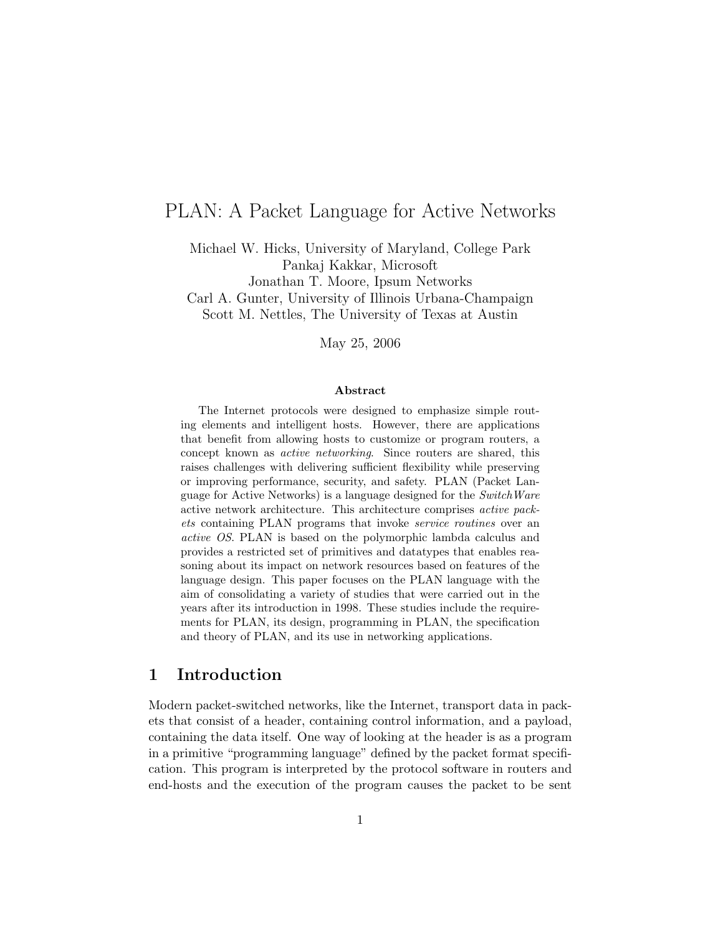# PLAN: A Packet Language for Active Networks

Michael W. Hicks, University of Maryland, College Park Pankaj Kakkar, Microsoft Jonathan T. Moore, Ipsum Networks Carl A. Gunter, University of Illinois Urbana-Champaign Scott M. Nettles, The University of Texas at Austin

May 25, 2006

#### Abstract

The Internet protocols were designed to emphasize simple routing elements and intelligent hosts. However, there are applications that benefit from allowing hosts to customize or program routers, a concept known as active networking. Since routers are shared, this raises challenges with delivering sufficient flexibility while preserving or improving performance, security, and safety. PLAN (Packet Language for Active Networks) is a language designed for the SwitchWare active network architecture. This architecture comprises active packets containing PLAN programs that invoke service routines over an active OS. PLAN is based on the polymorphic lambda calculus and provides a restricted set of primitives and datatypes that enables reasoning about its impact on network resources based on features of the language design. This paper focuses on the PLAN language with the aim of consolidating a variety of studies that were carried out in the years after its introduction in 1998. These studies include the requirements for PLAN, its design, programming in PLAN, the specification and theory of PLAN, and its use in networking applications.

## 1 Introduction

Modern packet-switched networks, like the Internet, transport data in packets that consist of a header, containing control information, and a payload, containing the data itself. One way of looking at the header is as a program in a primitive "programming language" defined by the packet format specification. This program is interpreted by the protocol software in routers and end-hosts and the execution of the program causes the packet to be sent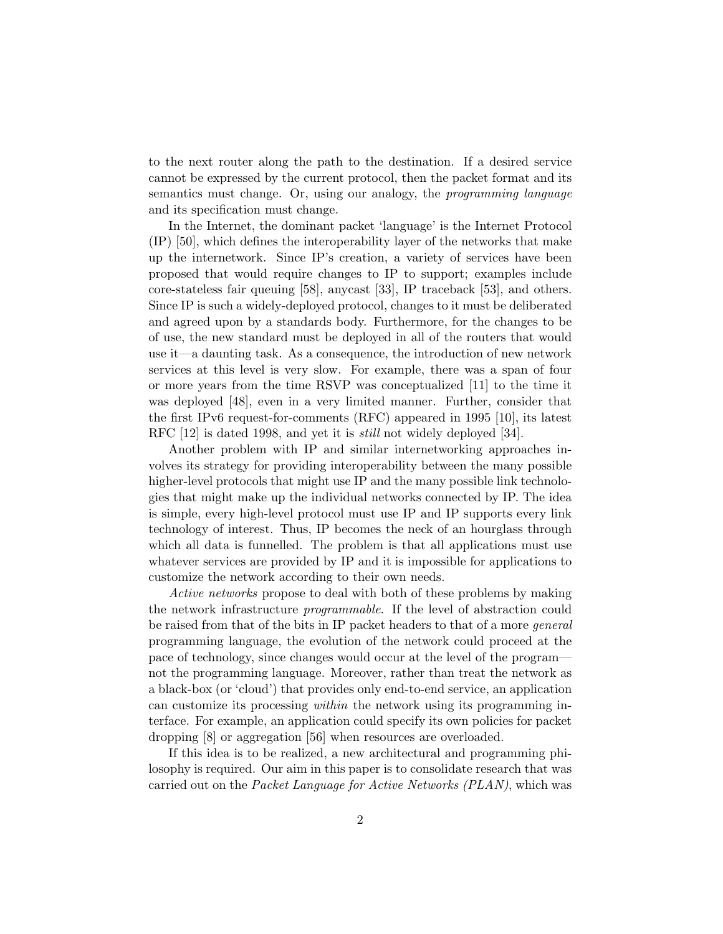to the next router along the path to the destination. If a desired service cannot be expressed by the current protocol, then the packet format and its semantics must change. Or, using our analogy, the programming language and its specification must change.

In the Internet, the dominant packet 'language' is the Internet Protocol (IP) [50], which defines the interoperability layer of the networks that make up the internetwork. Since IP's creation, a variety of services have been proposed that would require changes to IP to support; examples include core-stateless fair queuing [58], anycast [33], IP traceback [53], and others. Since IP is such a widely-deployed protocol, changes to it must be deliberated and agreed upon by a standards body. Furthermore, for the changes to be of use, the new standard must be deployed in all of the routers that would use it—a daunting task. As a consequence, the introduction of new network services at this level is very slow. For example, there was a span of four or more years from the time RSVP was conceptualized [11] to the time it was deployed [48], even in a very limited manner. Further, consider that the first IPv6 request-for-comments (RFC) appeared in 1995 [10], its latest RFC [12] is dated 1998, and yet it is still not widely deployed [34].

Another problem with IP and similar internetworking approaches involves its strategy for providing interoperability between the many possible higher-level protocols that might use IP and the many possible link technologies that might make up the individual networks connected by IP. The idea is simple, every high-level protocol must use IP and IP supports every link technology of interest. Thus, IP becomes the neck of an hourglass through which all data is funnelled. The problem is that all applications must use whatever services are provided by IP and it is impossible for applications to customize the network according to their own needs.

Active networks propose to deal with both of these problems by making the network infrastructure programmable. If the level of abstraction could be raised from that of the bits in IP packet headers to that of a more *general* programming language, the evolution of the network could proceed at the pace of technology, since changes would occur at the level of the program not the programming language. Moreover, rather than treat the network as a black-box (or 'cloud') that provides only end-to-end service, an application can customize its processing within the network using its programming interface. For example, an application could specify its own policies for packet dropping [8] or aggregation [56] when resources are overloaded.

If this idea is to be realized, a new architectural and programming philosophy is required. Our aim in this paper is to consolidate research that was carried out on the Packet Language for Active Networks (PLAN), which was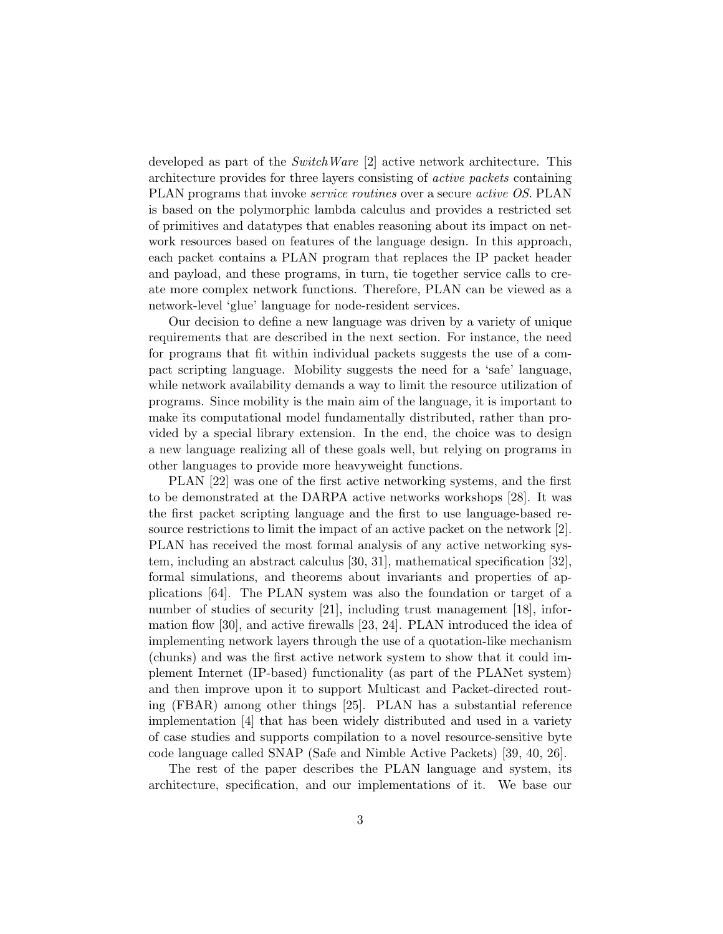developed as part of the SwitchWare [2] active network architecture. This architecture provides for three layers consisting of active packets containing PLAN programs that invoke service routines over a secure active OS. PLAN is based on the polymorphic lambda calculus and provides a restricted set of primitives and datatypes that enables reasoning about its impact on network resources based on features of the language design. In this approach, each packet contains a PLAN program that replaces the IP packet header and payload, and these programs, in turn, tie together service calls to create more complex network functions. Therefore, PLAN can be viewed as a network-level 'glue' language for node-resident services.

Our decision to define a new language was driven by a variety of unique requirements that are described in the next section. For instance, the need for programs that fit within individual packets suggests the use of a compact scripting language. Mobility suggests the need for a 'safe' language, while network availability demands a way to limit the resource utilization of programs. Since mobility is the main aim of the language, it is important to make its computational model fundamentally distributed, rather than provided by a special library extension. In the end, the choice was to design a new language realizing all of these goals well, but relying on programs in other languages to provide more heavyweight functions.

PLAN [22] was one of the first active networking systems, and the first to be demonstrated at the DARPA active networks workshops [28]. It was the first packet scripting language and the first to use language-based resource restrictions to limit the impact of an active packet on the network [2]. PLAN has received the most formal analysis of any active networking system, including an abstract calculus [30, 31], mathematical specification [32], formal simulations, and theorems about invariants and properties of applications [64]. The PLAN system was also the foundation or target of a number of studies of security [21], including trust management [18], information flow [30], and active firewalls [23, 24]. PLAN introduced the idea of implementing network layers through the use of a quotation-like mechanism (chunks) and was the first active network system to show that it could implement Internet (IP-based) functionality (as part of the PLANet system) and then improve upon it to support Multicast and Packet-directed routing (FBAR) among other things [25]. PLAN has a substantial reference implementation [4] that has been widely distributed and used in a variety of case studies and supports compilation to a novel resource-sensitive byte code language called SNAP (Safe and Nimble Active Packets) [39, 40, 26].

The rest of the paper describes the PLAN language and system, its architecture, specification, and our implementations of it. We base our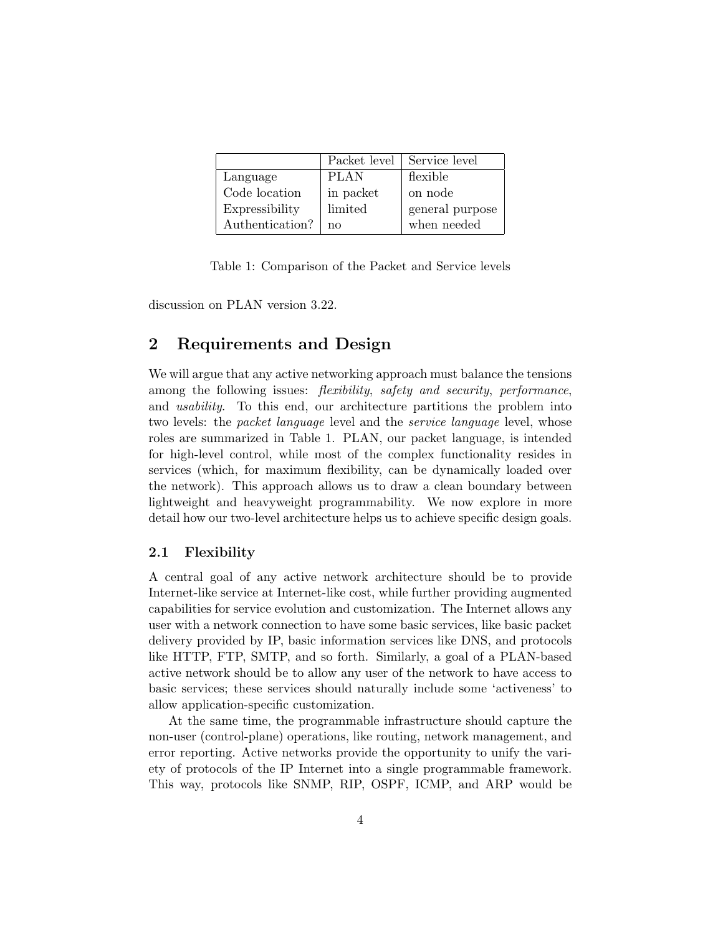|                 | Packet level | Service level   |
|-----------------|--------------|-----------------|
| Language        | <b>PLAN</b>  | flexible        |
| Code location   | in packet    | on node         |
| Expressibility  | limited      | general purpose |
| Authentication? | nο           | when needed     |

Table 1: Comparison of the Packet and Service levels

discussion on PLAN version 3.22.

## 2 Requirements and Design

We will argue that any active networking approach must balance the tensions among the following issues: *flexibility, safety and security, performance*, and usability. To this end, our architecture partitions the problem into two levels: the *packet language* level and the *service language* level, whose roles are summarized in Table 1. PLAN, our packet language, is intended for high-level control, while most of the complex functionality resides in services (which, for maximum flexibility, can be dynamically loaded over the network). This approach allows us to draw a clean boundary between lightweight and heavyweight programmability. We now explore in more detail how our two-level architecture helps us to achieve specific design goals.

## 2.1 Flexibility

A central goal of any active network architecture should be to provide Internet-like service at Internet-like cost, while further providing augmented capabilities for service evolution and customization. The Internet allows any user with a network connection to have some basic services, like basic packet delivery provided by IP, basic information services like DNS, and protocols like HTTP, FTP, SMTP, and so forth. Similarly, a goal of a PLAN-based active network should be to allow any user of the network to have access to basic services; these services should naturally include some 'activeness' to allow application-specific customization.

At the same time, the programmable infrastructure should capture the non-user (control-plane) operations, like routing, network management, and error reporting. Active networks provide the opportunity to unify the variety of protocols of the IP Internet into a single programmable framework. This way, protocols like SNMP, RIP, OSPF, ICMP, and ARP would be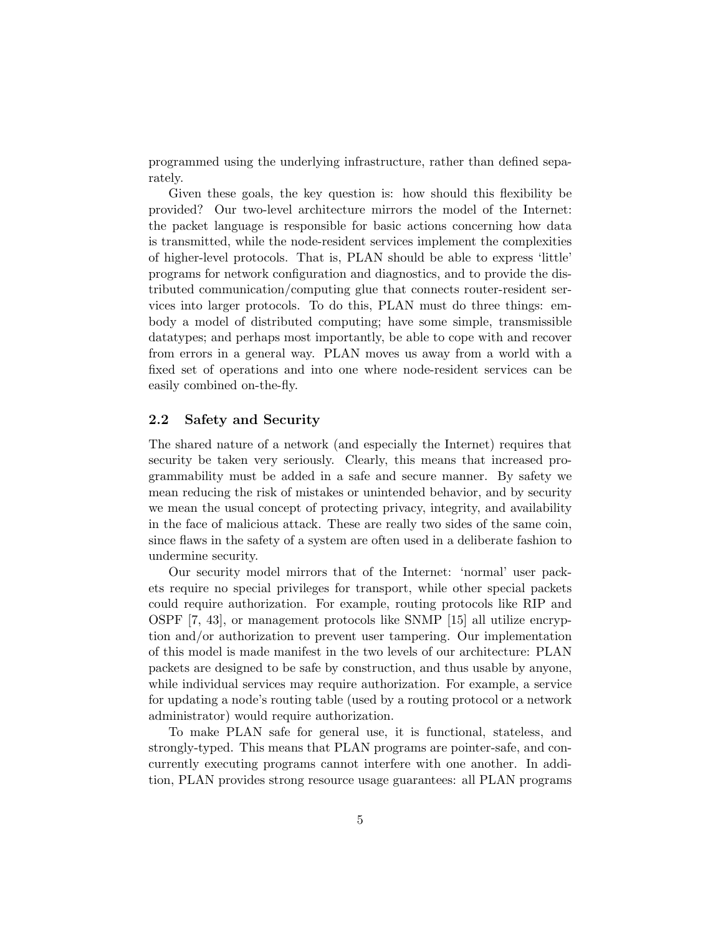programmed using the underlying infrastructure, rather than defined separately.

Given these goals, the key question is: how should this flexibility be provided? Our two-level architecture mirrors the model of the Internet: the packet language is responsible for basic actions concerning how data is transmitted, while the node-resident services implement the complexities of higher-level protocols. That is, PLAN should be able to express 'little' programs for network configuration and diagnostics, and to provide the distributed communication/computing glue that connects router-resident services into larger protocols. To do this, PLAN must do three things: embody a model of distributed computing; have some simple, transmissible datatypes; and perhaps most importantly, be able to cope with and recover from errors in a general way. PLAN moves us away from a world with a fixed set of operations and into one where node-resident services can be easily combined on-the-fly.

## 2.2 Safety and Security

The shared nature of a network (and especially the Internet) requires that security be taken very seriously. Clearly, this means that increased programmability must be added in a safe and secure manner. By safety we mean reducing the risk of mistakes or unintended behavior, and by security we mean the usual concept of protecting privacy, integrity, and availability in the face of malicious attack. These are really two sides of the same coin, since flaws in the safety of a system are often used in a deliberate fashion to undermine security.

Our security model mirrors that of the Internet: 'normal' user packets require no special privileges for transport, while other special packets could require authorization. For example, routing protocols like RIP and OSPF [7, 43], or management protocols like SNMP [15] all utilize encryption and/or authorization to prevent user tampering. Our implementation of this model is made manifest in the two levels of our architecture: PLAN packets are designed to be safe by construction, and thus usable by anyone, while individual services may require authorization. For example, a service for updating a node's routing table (used by a routing protocol or a network administrator) would require authorization.

To make PLAN safe for general use, it is functional, stateless, and strongly-typed. This means that PLAN programs are pointer-safe, and concurrently executing programs cannot interfere with one another. In addition, PLAN provides strong resource usage guarantees: all PLAN programs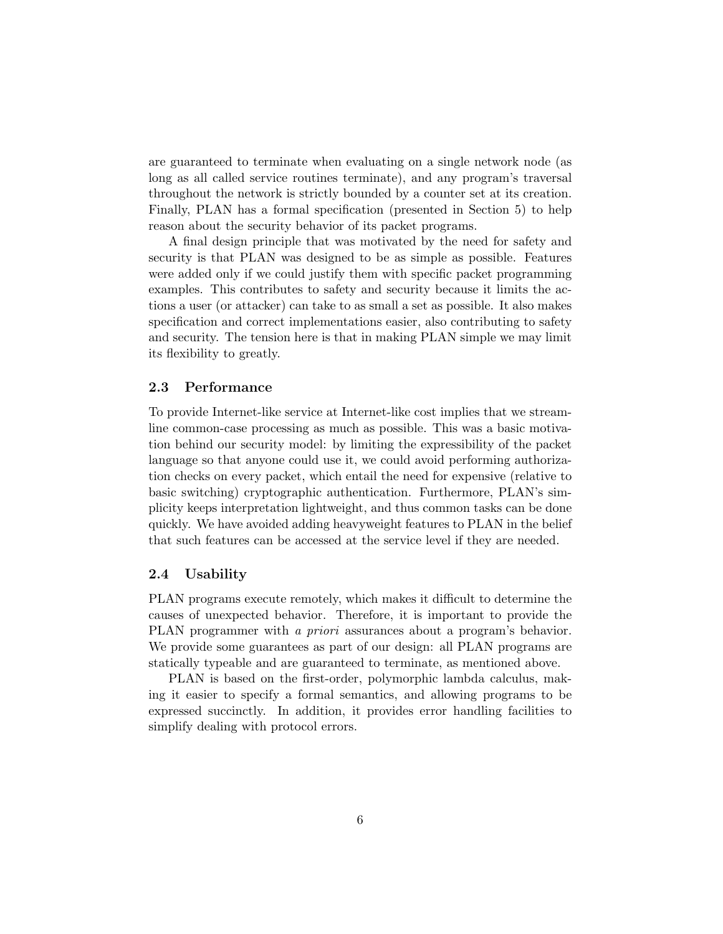are guaranteed to terminate when evaluating on a single network node (as long as all called service routines terminate), and any program's traversal throughout the network is strictly bounded by a counter set at its creation. Finally, PLAN has a formal specification (presented in Section 5) to help reason about the security behavior of its packet programs.

A final design principle that was motivated by the need for safety and security is that PLAN was designed to be as simple as possible. Features were added only if we could justify them with specific packet programming examples. This contributes to safety and security because it limits the actions a user (or attacker) can take to as small a set as possible. It also makes specification and correct implementations easier, also contributing to safety and security. The tension here is that in making PLAN simple we may limit its flexibility to greatly.

### 2.3 Performance

To provide Internet-like service at Internet-like cost implies that we streamline common-case processing as much as possible. This was a basic motivation behind our security model: by limiting the expressibility of the packet language so that anyone could use it, we could avoid performing authorization checks on every packet, which entail the need for expensive (relative to basic switching) cryptographic authentication. Furthermore, PLAN's simplicity keeps interpretation lightweight, and thus common tasks can be done quickly. We have avoided adding heavyweight features to PLAN in the belief that such features can be accessed at the service level if they are needed.

## 2.4 Usability

PLAN programs execute remotely, which makes it difficult to determine the causes of unexpected behavior. Therefore, it is important to provide the PLAN programmer with a priori assurances about a program's behavior. We provide some guarantees as part of our design: all PLAN programs are statically typeable and are guaranteed to terminate, as mentioned above.

PLAN is based on the first-order, polymorphic lambda calculus, making it easier to specify a formal semantics, and allowing programs to be expressed succinctly. In addition, it provides error handling facilities to simplify dealing with protocol errors.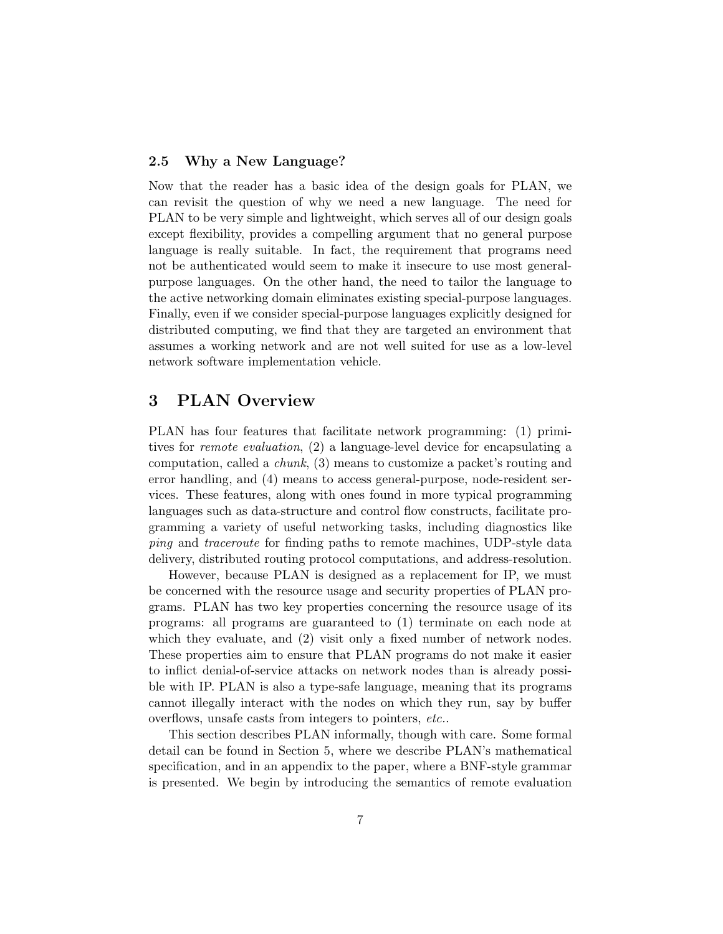## 2.5 Why a New Language?

Now that the reader has a basic idea of the design goals for PLAN, we can revisit the question of why we need a new language. The need for PLAN to be very simple and lightweight, which serves all of our design goals except flexibility, provides a compelling argument that no general purpose language is really suitable. In fact, the requirement that programs need not be authenticated would seem to make it insecure to use most generalpurpose languages. On the other hand, the need to tailor the language to the active networking domain eliminates existing special-purpose languages. Finally, even if we consider special-purpose languages explicitly designed for distributed computing, we find that they are targeted an environment that assumes a working network and are not well suited for use as a low-level network software implementation vehicle.

## 3 PLAN Overview

PLAN has four features that facilitate network programming: (1) primitives for remote evaluation, (2) a language-level device for encapsulating a computation, called a chunk, (3) means to customize a packet's routing and error handling, and (4) means to access general-purpose, node-resident services. These features, along with ones found in more typical programming languages such as data-structure and control flow constructs, facilitate programming a variety of useful networking tasks, including diagnostics like ping and traceroute for finding paths to remote machines, UDP-style data delivery, distributed routing protocol computations, and address-resolution.

However, because PLAN is designed as a replacement for IP, we must be concerned with the resource usage and security properties of PLAN programs. PLAN has two key properties concerning the resource usage of its programs: all programs are guaranteed to (1) terminate on each node at which they evaluate, and  $(2)$  visit only a fixed number of network nodes. These properties aim to ensure that PLAN programs do not make it easier to inflict denial-of-service attacks on network nodes than is already possible with IP. PLAN is also a type-safe language, meaning that its programs cannot illegally interact with the nodes on which they run, say by buffer overflows, unsafe casts from integers to pointers, etc..

This section describes PLAN informally, though with care. Some formal detail can be found in Section 5, where we describe PLAN's mathematical specification, and in an appendix to the paper, where a BNF-style grammar is presented. We begin by introducing the semantics of remote evaluation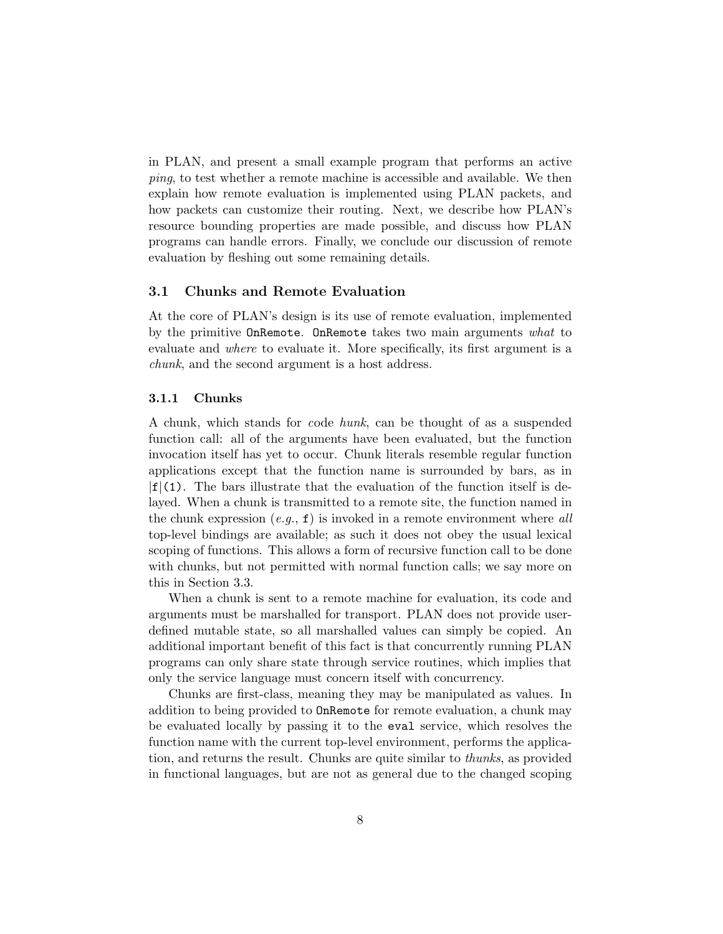in PLAN, and present a small example program that performs an active ping, to test whether a remote machine is accessible and available. We then explain how remote evaluation is implemented using PLAN packets, and how packets can customize their routing. Next, we describe how PLAN's resource bounding properties are made possible, and discuss how PLAN programs can handle errors. Finally, we conclude our discussion of remote evaluation by fleshing out some remaining details.

## 3.1 Chunks and Remote Evaluation

At the core of PLAN's design is its use of remote evaluation, implemented by the primitive **OnRemote. OnRemote** takes two main arguments what to evaluate and where to evaluate it. More specifically, its first argument is a chunk, and the second argument is a host address.

#### 3.1.1 Chunks

A chunk, which stands for code hunk, can be thought of as a suspended function call: all of the arguments have been evaluated, but the function invocation itself has yet to occur. Chunk literals resemble regular function applications except that the function name is surrounded by bars, as in  $|f|(1)$ . The bars illustrate that the evaluation of the function itself is delayed. When a chunk is transmitted to a remote site, the function named in the chunk expression  $(e.g., f)$  is invoked in a remote environment where all top-level bindings are available; as such it does not obey the usual lexical scoping of functions. This allows a form of recursive function call to be done with chunks, but not permitted with normal function calls; we say more on this in Section 3.3.

When a chunk is sent to a remote machine for evaluation, its code and arguments must be marshalled for transport. PLAN does not provide userdefined mutable state, so all marshalled values can simply be copied. An additional important benefit of this fact is that concurrently running PLAN programs can only share state through service routines, which implies that only the service language must concern itself with concurrency.

Chunks are first-class, meaning they may be manipulated as values. In addition to being provided to OnRemote for remote evaluation, a chunk may be evaluated locally by passing it to the eval service, which resolves the function name with the current top-level environment, performs the application, and returns the result. Chunks are quite similar to thunks, as provided in functional languages, but are not as general due to the changed scoping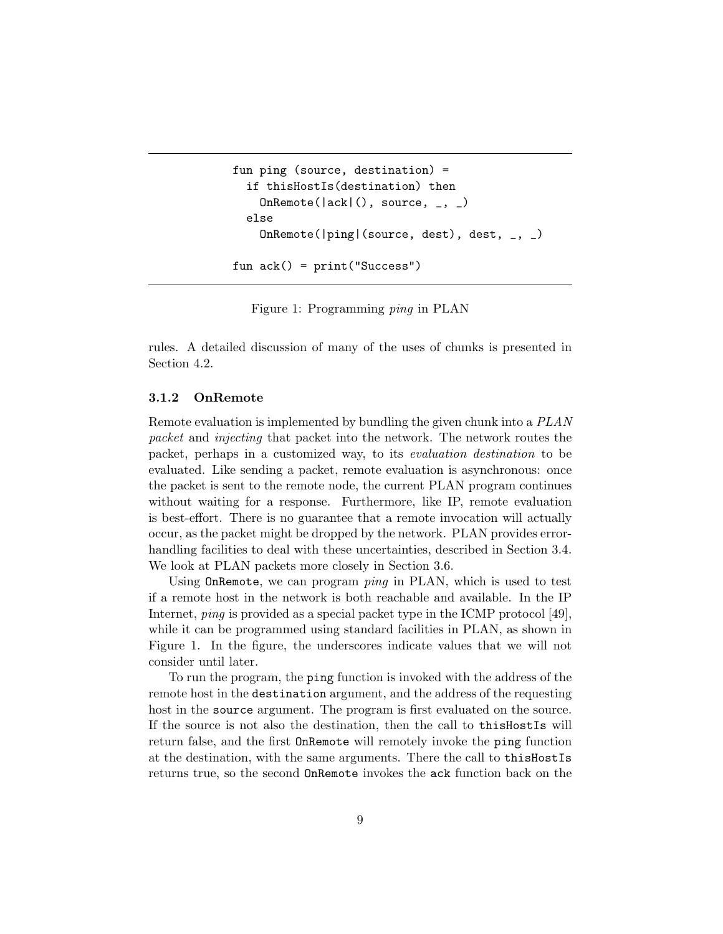```
fun ping (source, destination) =
  if thisHostIs(destination) then
    OnRemote(|ack|(), source, _{-}, _{-})
  else
    OnRemote(|ping|(source, dest), dest, _, _)
fun ack() = print("Success")
```
Figure 1: Programming ping in PLAN

rules. A detailed discussion of many of the uses of chunks is presented in Section 4.2.

#### 3.1.2 OnRemote

Remote evaluation is implemented by bundling the given chunk into a PLAN packet and injecting that packet into the network. The network routes the packet, perhaps in a customized way, to its evaluation destination to be evaluated. Like sending a packet, remote evaluation is asynchronous: once the packet is sent to the remote node, the current PLAN program continues without waiting for a response. Furthermore, like IP, remote evaluation is best-effort. There is no guarantee that a remote invocation will actually occur, as the packet might be dropped by the network. PLAN provides errorhandling facilities to deal with these uncertainties, described in Section 3.4. We look at PLAN packets more closely in Section 3.6.

Using OnRemote, we can program ping in PLAN, which is used to test if a remote host in the network is both reachable and available. In the IP Internet, ping is provided as a special packet type in the ICMP protocol [49], while it can be programmed using standard facilities in PLAN, as shown in Figure 1. In the figure, the underscores indicate values that we will not consider until later.

To run the program, the ping function is invoked with the address of the remote host in the destination argument, and the address of the requesting host in the source argument. The program is first evaluated on the source. If the source is not also the destination, then the call to thisHostIs will return false, and the first OnRemote will remotely invoke the ping function at the destination, with the same arguments. There the call to thisHostIs returns true, so the second OnRemote invokes the ack function back on the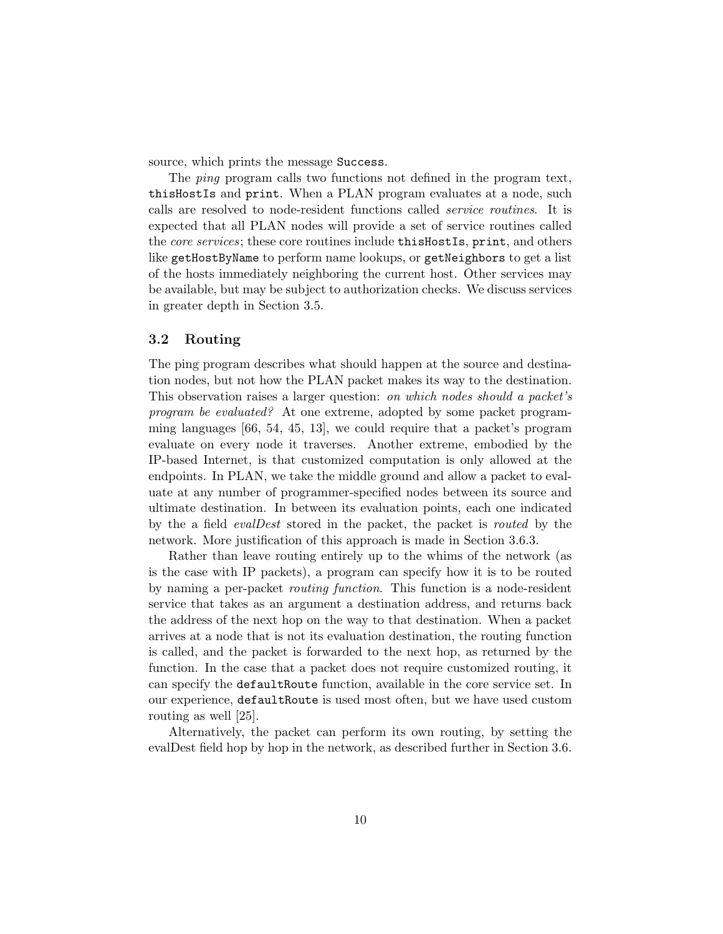source, which prints the message Success.

The *ping* program calls two functions not defined in the program text, thisHostIs and print. When a PLAN program evaluates at a node, such calls are resolved to node-resident functions called service routines. It is expected that all PLAN nodes will provide a set of service routines called the *core services*; these core routines include **thisHostIs**, print, and others like getHostByName to perform name lookups, or getNeighbors to get a list of the hosts immediately neighboring the current host. Other services may be available, but may be subject to authorization checks. We discuss services in greater depth in Section 3.5.

## 3.2 Routing

The ping program describes what should happen at the source and destination nodes, but not how the PLAN packet makes its way to the destination. This observation raises a larger question: on which nodes should a packet's program be evaluated? At one extreme, adopted by some packet programming languages [66, 54, 45, 13], we could require that a packet's program evaluate on every node it traverses. Another extreme, embodied by the IP-based Internet, is that customized computation is only allowed at the endpoints. In PLAN, we take the middle ground and allow a packet to evaluate at any number of programmer-specified nodes between its source and ultimate destination. In between its evaluation points, each one indicated by the a field evalDest stored in the packet, the packet is routed by the network. More justification of this approach is made in Section 3.6.3.

Rather than leave routing entirely up to the whims of the network (as is the case with IP packets), a program can specify how it is to be routed by naming a per-packet routing function. This function is a node-resident service that takes as an argument a destination address, and returns back the address of the next hop on the way to that destination. When a packet arrives at a node that is not its evaluation destination, the routing function is called, and the packet is forwarded to the next hop, as returned by the function. In the case that a packet does not require customized routing, it can specify the defaultRoute function, available in the core service set. In our experience, defaultRoute is used most often, but we have used custom routing as well [25].

Alternatively, the packet can perform its own routing, by setting the evalDest field hop by hop in the network, as described further in Section 3.6.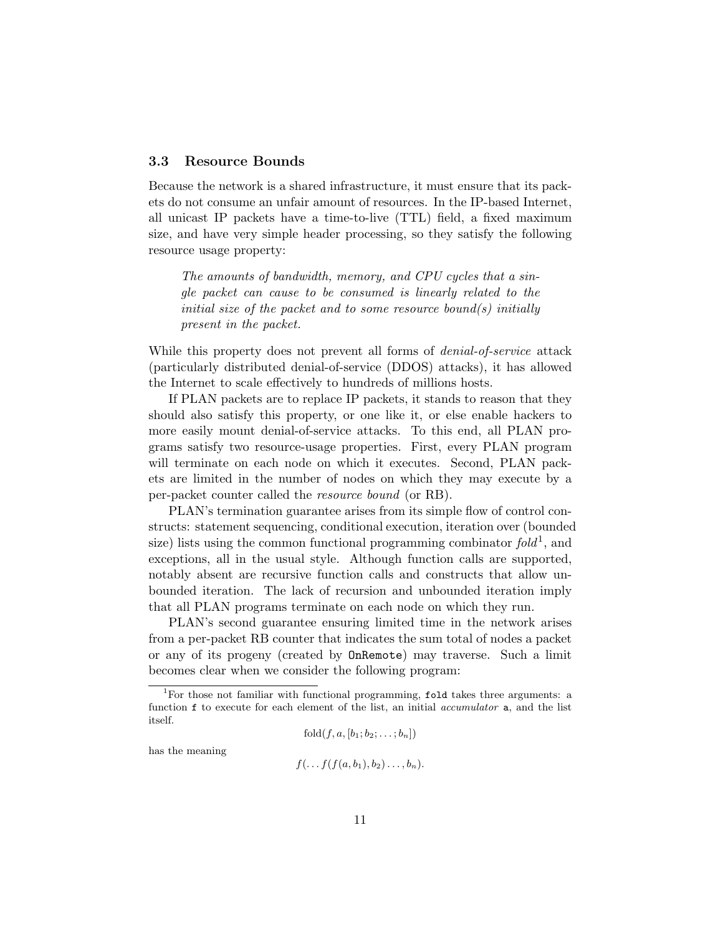## 3.3 Resource Bounds

Because the network is a shared infrastructure, it must ensure that its packets do not consume an unfair amount of resources. In the IP-based Internet, all unicast IP packets have a time-to-live (TTL) field, a fixed maximum size, and have very simple header processing, so they satisfy the following resource usage property:

The amounts of bandwidth, memory, and CPU cycles that a single packet can cause to be consumed is linearly related to the initial size of the packet and to some resource bound(s) initially present in the packet.

While this property does not prevent all forms of *denial-of-service* attack (particularly distributed denial-of-service (DDOS) attacks), it has allowed the Internet to scale effectively to hundreds of millions hosts.

If PLAN packets are to replace IP packets, it stands to reason that they should also satisfy this property, or one like it, or else enable hackers to more easily mount denial-of-service attacks. To this end, all PLAN programs satisfy two resource-usage properties. First, every PLAN program will terminate on each node on which it executes. Second, PLAN packets are limited in the number of nodes on which they may execute by a per-packet counter called the resource bound (or RB).

PLAN's termination guarantee arises from its simple flow of control constructs: statement sequencing, conditional execution, iteration over (bounded size) lists using the common functional programming combinator  $fold^1$ , and exceptions, all in the usual style. Although function calls are supported, notably absent are recursive function calls and constructs that allow unbounded iteration. The lack of recursion and unbounded iteration imply that all PLAN programs terminate on each node on which they run.

PLAN's second guarantee ensuring limited time in the network arises from a per-packet RB counter that indicates the sum total of nodes a packet or any of its progeny (created by OnRemote) may traverse. Such a limit becomes clear when we consider the following program:

$$
fold(f, a, [b_1; b_2; \ldots; b_n])
$$

has the meaning

$$
f(\ldots f(f(a,b_1),b_2)\ldots,b_n).
$$

<sup>&</sup>lt;sup>1</sup>For those not familiar with functional programming, fold takes three arguments: a function f to execute for each element of the list, an initial *accumulator* a, and the list itself.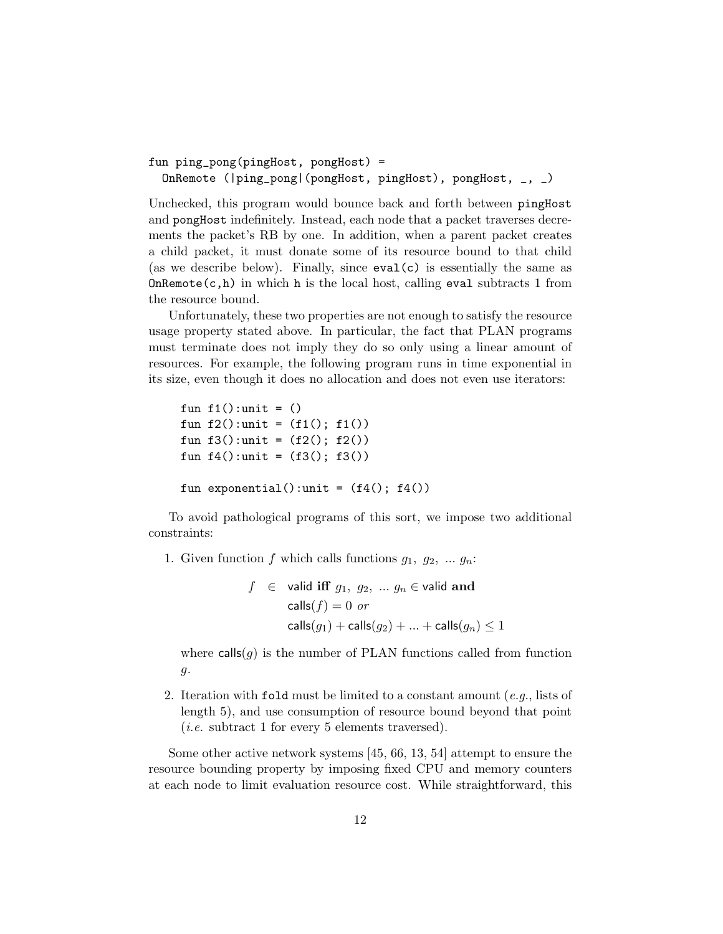```
fun ping_pong(pingHost, pongHost) =
  OnRemote (|ping_pong|(pongHost, pingHost), pongHost, _, _)
```
Unchecked, this program would bounce back and forth between pingHost and pongHost indefinitely. Instead, each node that a packet traverses decrements the packet's RB by one. In addition, when a parent packet creates a child packet, it must donate some of its resource bound to that child (as we describe below). Finally, since eval(c) is essentially the same as  $OnRemote(c, h)$  in which h is the local host, calling eval subtracts 1 from the resource bound.

Unfortunately, these two properties are not enough to satisfy the resource usage property stated above. In particular, the fact that PLAN programs must terminate does not imply they do so only using a linear amount of resources. For example, the following program runs in time exponential in its size, even though it does no allocation and does not even use iterators:

```
fun f1():unit = ()fun f2():unit = (f1(); f1())fun f3():unit = (f2(); f2())fun f4():unit = (f3(); f3())fun exponential():unit = (f4(); f4())
```
To avoid pathological programs of this sort, we impose two additional constraints:

1. Given function f which calls functions  $g_1, g_2, \ldots g_n$ :

$$
f \in \text{valid iff } g_1, g_2, \dots g_n \in \text{valid and}
$$

$$
\text{ calls}(f) = 0 \text{ or}
$$

$$
\text{ calls}(g_1) + \text{ calls}(g_2) + \dots + \text{ calls}(g_n) \le 1
$$

where  $\text{calls}(q)$  is the number of PLAN functions called from function g.

2. Iteration with fold must be limited to a constant amount  $(e.g.,\text{ lists of})$ length 5), and use consumption of resource bound beyond that point (*i.e.* subtract 1 for every 5 elements traversed).

Some other active network systems [45, 66, 13, 54] attempt to ensure the resource bounding property by imposing fixed CPU and memory counters at each node to limit evaluation resource cost. While straightforward, this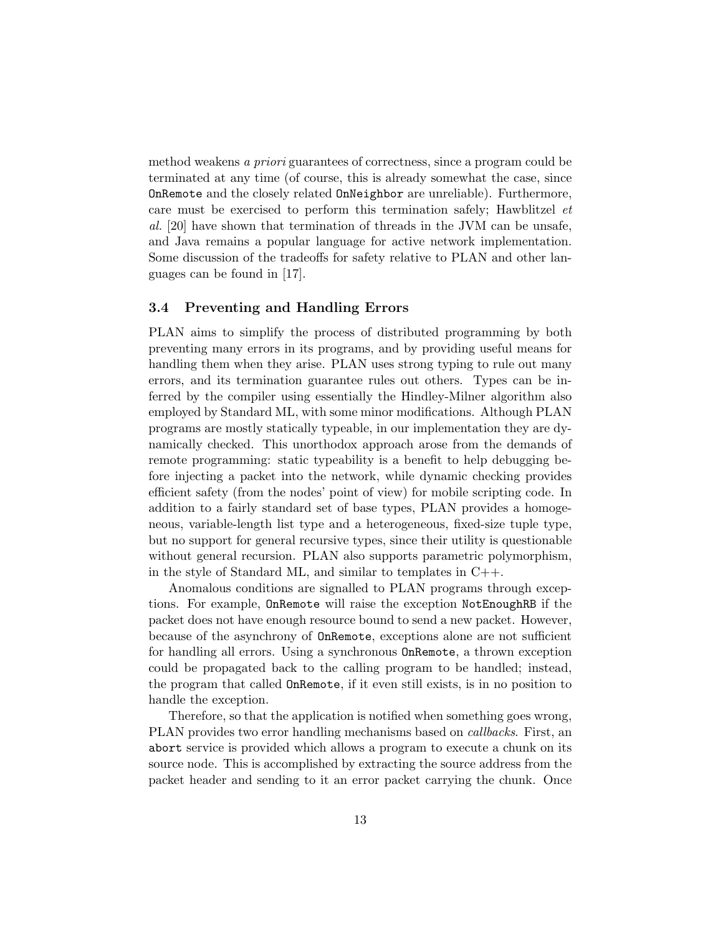method weakens a priori guarantees of correctness, since a program could be terminated at any time (of course, this is already somewhat the case, since OnRemote and the closely related OnNeighbor are unreliable). Furthermore, care must be exercised to perform this termination safely; Hawblitzel et al. [20] have shown that termination of threads in the JVM can be unsafe, and Java remains a popular language for active network implementation. Some discussion of the tradeoffs for safety relative to PLAN and other languages can be found in [17].

## 3.4 Preventing and Handling Errors

PLAN aims to simplify the process of distributed programming by both preventing many errors in its programs, and by providing useful means for handling them when they arise. PLAN uses strong typing to rule out many errors, and its termination guarantee rules out others. Types can be inferred by the compiler using essentially the Hindley-Milner algorithm also employed by Standard ML, with some minor modifications. Although PLAN programs are mostly statically typeable, in our implementation they are dynamically checked. This unorthodox approach arose from the demands of remote programming: static typeability is a benefit to help debugging before injecting a packet into the network, while dynamic checking provides efficient safety (from the nodes' point of view) for mobile scripting code. In addition to a fairly standard set of base types, PLAN provides a homogeneous, variable-length list type and a heterogeneous, fixed-size tuple type, but no support for general recursive types, since their utility is questionable without general recursion. PLAN also supports parametric polymorphism, in the style of Standard ML, and similar to templates in C++.

Anomalous conditions are signalled to PLAN programs through exceptions. For example, OnRemote will raise the exception NotEnoughRB if the packet does not have enough resource bound to send a new packet. However, because of the asynchrony of OnRemote, exceptions alone are not sufficient for handling all errors. Using a synchronous OnRemote, a thrown exception could be propagated back to the calling program to be handled; instead, the program that called OnRemote, if it even still exists, is in no position to handle the exception.

Therefore, so that the application is notified when something goes wrong, PLAN provides two error handling mechanisms based on callbacks. First, an abort service is provided which allows a program to execute a chunk on its source node. This is accomplished by extracting the source address from the packet header and sending to it an error packet carrying the chunk. Once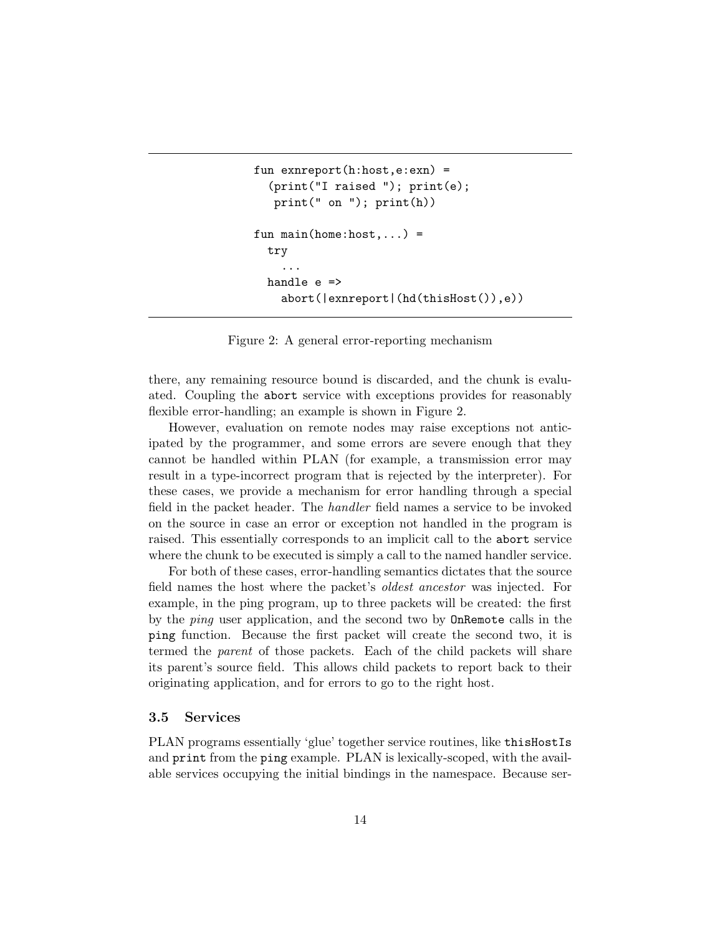```
fun exnreport(h:host,e:exn) =
  (print("I raised "); print(e);
   print(" on "); print(h))
fun main(home:host, ...)=try
    ...
  handle e =>
    abort(|exnreport|(hd(thisHost()),e))
```
Figure 2: A general error-reporting mechanism

there, any remaining resource bound is discarded, and the chunk is evaluated. Coupling the abort service with exceptions provides for reasonably flexible error-handling; an example is shown in Figure 2.

However, evaluation on remote nodes may raise exceptions not anticipated by the programmer, and some errors are severe enough that they cannot be handled within PLAN (for example, a transmission error may result in a type-incorrect program that is rejected by the interpreter). For these cases, we provide a mechanism for error handling through a special field in the packet header. The handler field names a service to be invoked on the source in case an error or exception not handled in the program is raised. This essentially corresponds to an implicit call to the abort service where the chunk to be executed is simply a call to the named handler service.

For both of these cases, error-handling semantics dictates that the source field names the host where the packet's oldest ancestor was injected. For example, in the ping program, up to three packets will be created: the first by the ping user application, and the second two by OnRemote calls in the ping function. Because the first packet will create the second two, it is termed the parent of those packets. Each of the child packets will share its parent's source field. This allows child packets to report back to their originating application, and for errors to go to the right host.

### 3.5 Services

PLAN programs essentially 'glue' together service routines, like thisHostIs and print from the ping example. PLAN is lexically-scoped, with the available services occupying the initial bindings in the namespace. Because ser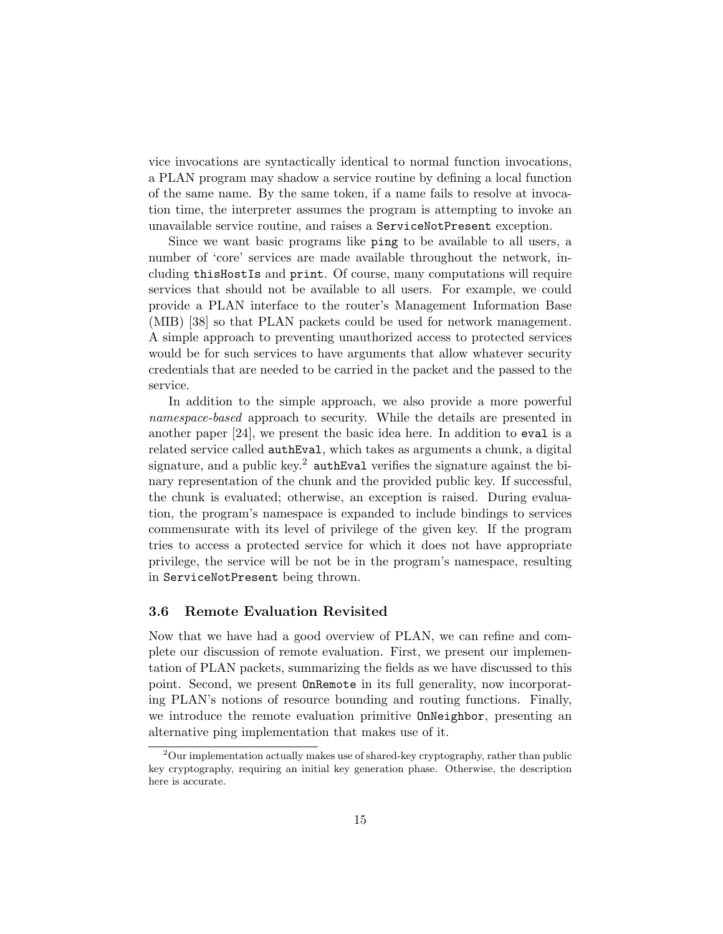vice invocations are syntactically identical to normal function invocations, a PLAN program may shadow a service routine by defining a local function of the same name. By the same token, if a name fails to resolve at invocation time, the interpreter assumes the program is attempting to invoke an unavailable service routine, and raises a ServiceNotPresent exception.

Since we want basic programs like ping to be available to all users, a number of 'core' services are made available throughout the network, including thisHostIs and print. Of course, many computations will require services that should not be available to all users. For example, we could provide a PLAN interface to the router's Management Information Base (MIB) [38] so that PLAN packets could be used for network management. A simple approach to preventing unauthorized access to protected services would be for such services to have arguments that allow whatever security credentials that are needed to be carried in the packet and the passed to the service.

In addition to the simple approach, we also provide a more powerful namespace-based approach to security. While the details are presented in another paper [24], we present the basic idea here. In addition to eval is a related service called authEval, which takes as arguments a chunk, a digital signature, and a public key.<sup>2</sup> authEval verifies the signature against the binary representation of the chunk and the provided public key. If successful, the chunk is evaluated; otherwise, an exception is raised. During evaluation, the program's namespace is expanded to include bindings to services commensurate with its level of privilege of the given key. If the program tries to access a protected service for which it does not have appropriate privilege, the service will be not be in the program's namespace, resulting in ServiceNotPresent being thrown.

### 3.6 Remote Evaluation Revisited

Now that we have had a good overview of PLAN, we can refine and complete our discussion of remote evaluation. First, we present our implementation of PLAN packets, summarizing the fields as we have discussed to this point. Second, we present OnRemote in its full generality, now incorporating PLAN's notions of resource bounding and routing functions. Finally, we introduce the remote evaluation primitive OnNeighbor, presenting an alternative ping implementation that makes use of it.

 $2$ Our implementation actually makes use of shared-key cryptography, rather than public key cryptography, requiring an initial key generation phase. Otherwise, the description here is accurate.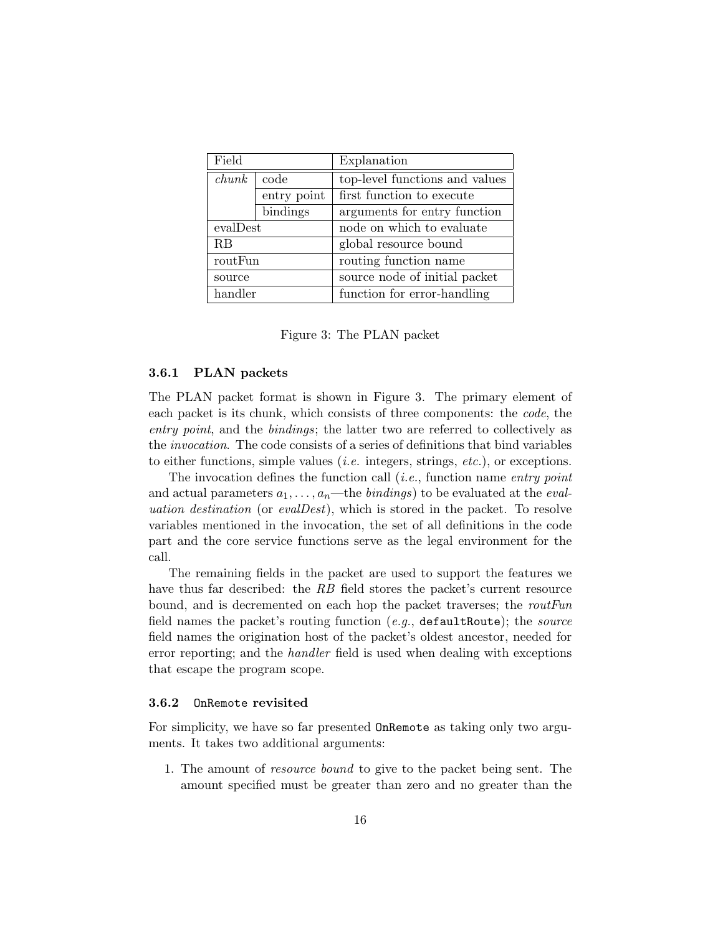| Field    |             | Explanation                    |
|----------|-------------|--------------------------------|
| chunk    | code        | top-level functions and values |
|          | entry point | first function to execute      |
|          | bindings    | arguments for entry function   |
| evalDest |             | node on which to evaluate      |
| RB       |             | global resource bound          |
| routFun  |             | routing function name          |
| source   |             | source node of initial packet  |
| handler  |             | function for error-handling    |

Figure 3: The PLAN packet

#### 3.6.1 PLAN packets

The PLAN packet format is shown in Figure 3. The primary element of each packet is its chunk, which consists of three components: the code, the entry point, and the bindings; the latter two are referred to collectively as the invocation. The code consists of a series of definitions that bind variables to either functions, simple values (*i.e.* integers, strings, *etc.*), or exceptions.

The invocation defines the function call  $(i.e.,$  function name entry point and actual parameters  $a_1, \ldots, a_n$ —the *bindings*) to be evaluated at the *eval*uation destination (or evalDest), which is stored in the packet. To resolve variables mentioned in the invocation, the set of all definitions in the code part and the core service functions serve as the legal environment for the call.

The remaining fields in the packet are used to support the features we have thus far described: the RB field stores the packet's current resource bound, and is decremented on each hop the packet traverses; the routFun field names the packet's routing function  $(e.g., \text{ defaultRoote});$  the source field names the origination host of the packet's oldest ancestor, needed for error reporting; and the handler field is used when dealing with exceptions that escape the program scope.

#### 3.6.2 OnRemote revisited

For simplicity, we have so far presented OnRemote as taking only two arguments. It takes two additional arguments:

1. The amount of resource bound to give to the packet being sent. The amount specified must be greater than zero and no greater than the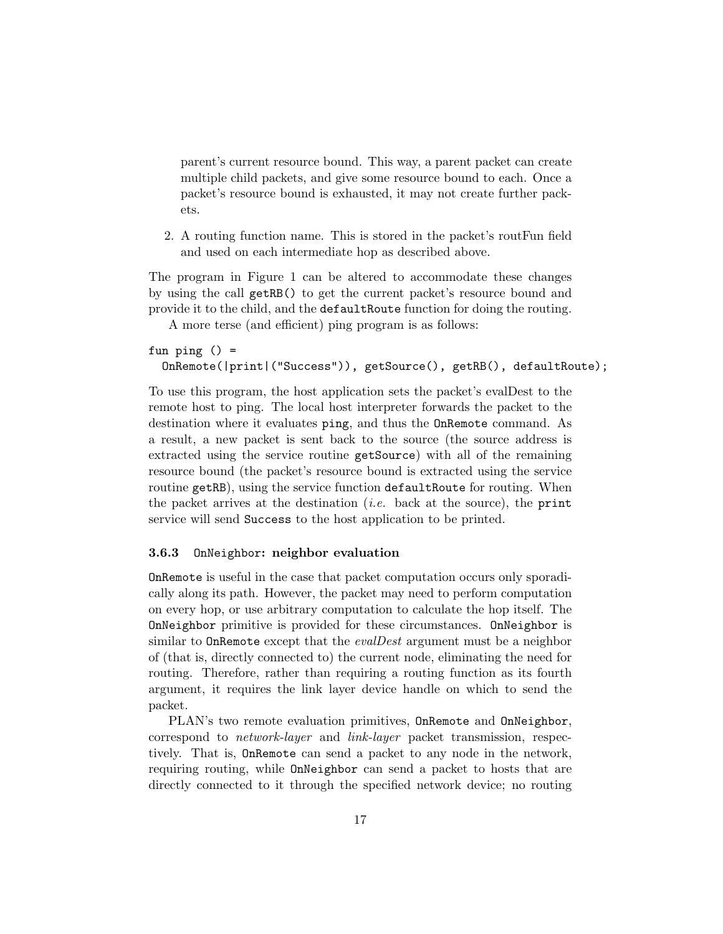parent's current resource bound. This way, a parent packet can create multiple child packets, and give some resource bound to each. Once a packet's resource bound is exhausted, it may not create further packets.

2. A routing function name. This is stored in the packet's routFun field and used on each intermediate hop as described above.

The program in Figure 1 can be altered to accommodate these changes by using the call getRB() to get the current packet's resource bound and provide it to the child, and the defaultRoute function for doing the routing.

A more terse (and efficient) ping program is as follows:

```
fun ping () =OnRemote(|print|("Success")), getSource(), getRB(), defaultRoute);
```
To use this program, the host application sets the packet's evalDest to the remote host to ping. The local host interpreter forwards the packet to the destination where it evaluates ping, and thus the OnRemote command. As a result, a new packet is sent back to the source (the source address is extracted using the service routine getSource) with all of the remaining resource bound (the packet's resource bound is extracted using the service routine getRB), using the service function defaultRoute for routing. When the packet arrives at the destination (*i.e.* back at the source), the print service will send Success to the host application to be printed.

#### 3.6.3 OnNeighbor: neighbor evaluation

OnRemote is useful in the case that packet computation occurs only sporadically along its path. However, the packet may need to perform computation on every hop, or use arbitrary computation to calculate the hop itself. The OnNeighbor primitive is provided for these circumstances. OnNeighbor is similar to **OnRemote** except that the *evalDest* argument must be a neighbor of (that is, directly connected to) the current node, eliminating the need for routing. Therefore, rather than requiring a routing function as its fourth argument, it requires the link layer device handle on which to send the packet.

PLAN's two remote evaluation primitives, OnRemote and OnNeighbor, correspond to network-layer and link-layer packet transmission, respectively. That is, OnRemote can send a packet to any node in the network, requiring routing, while OnNeighbor can send a packet to hosts that are directly connected to it through the specified network device; no routing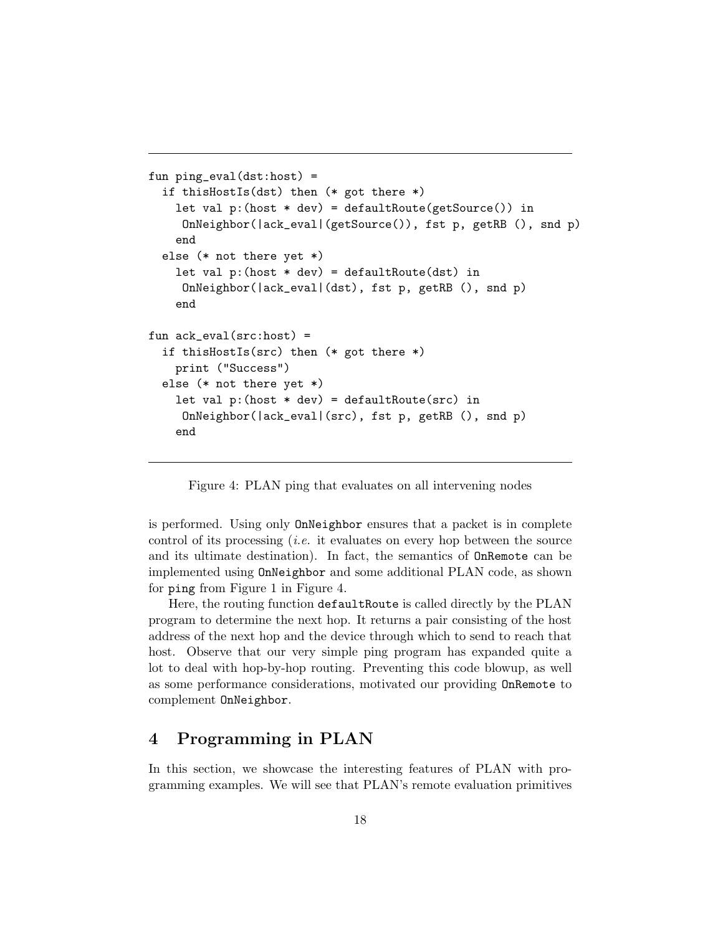```
fun ping_eval(dst:host) =
  if thisHostIs(dst) then (* got there *)
    let val p:(host * dev) = defaultRoute(getSource()) in
     OnNeighbor(|ack_eval|(getSource()), fst p, getRB (), snd p)
    end
  else (* not there yet *)
    let val p:(host * dev) = defaultRoot(dst) inOnNeighbor(|ack_eval|(dst), fst p, getRB (), snd p)
    end
fun ack_eval(src:host) =
  if thisHostIs(src) then (* got there *)
    print ("Success")
  else (* not there yet *)
    let val p:(host * dev) = default Route(src) inOnNeighbor(|ack_eval|(src), fst p, getRB (), snd p)
    end
```
Figure 4: PLAN ping that evaluates on all intervening nodes

is performed. Using only OnNeighbor ensures that a packet is in complete control of its processing (i.e. it evaluates on every hop between the source and its ultimate destination). In fact, the semantics of OnRemote can be implemented using OnNeighbor and some additional PLAN code, as shown for ping from Figure 1 in Figure 4.

Here, the routing function defaultRoute is called directly by the PLAN program to determine the next hop. It returns a pair consisting of the host address of the next hop and the device through which to send to reach that host. Observe that our very simple ping program has expanded quite a lot to deal with hop-by-hop routing. Preventing this code blowup, as well as some performance considerations, motivated our providing OnRemote to complement OnNeighbor.

## 4 Programming in PLAN

In this section, we showcase the interesting features of PLAN with programming examples. We will see that PLAN's remote evaluation primitives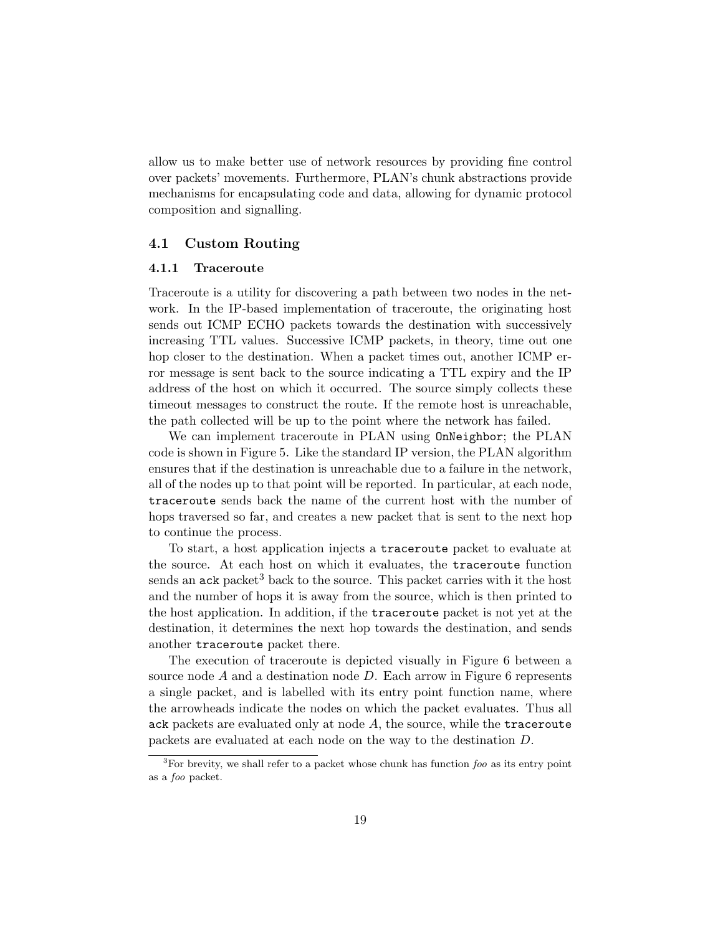allow us to make better use of network resources by providing fine control over packets' movements. Furthermore, PLAN's chunk abstractions provide mechanisms for encapsulating code and data, allowing for dynamic protocol composition and signalling.

## 4.1 Custom Routing

#### 4.1.1 Traceroute

Traceroute is a utility for discovering a path between two nodes in the network. In the IP-based implementation of traceroute, the originating host sends out ICMP ECHO packets towards the destination with successively increasing TTL values. Successive ICMP packets, in theory, time out one hop closer to the destination. When a packet times out, another ICMP error message is sent back to the source indicating a TTL expiry and the IP address of the host on which it occurred. The source simply collects these timeout messages to construct the route. If the remote host is unreachable, the path collected will be up to the point where the network has failed.

We can implement traceroute in PLAN using OnNeighbor; the PLAN code is shown in Figure 5. Like the standard IP version, the PLAN algorithm ensures that if the destination is unreachable due to a failure in the network, all of the nodes up to that point will be reported. In particular, at each node, traceroute sends back the name of the current host with the number of hops traversed so far, and creates a new packet that is sent to the next hop to continue the process.

To start, a host application injects a traceroute packet to evaluate at the source. At each host on which it evaluates, the traceroute function sends an  $ack$  packet<sup>3</sup> back to the source. This packet carries with it the host and the number of hops it is away from the source, which is then printed to the host application. In addition, if the traceroute packet is not yet at the destination, it determines the next hop towards the destination, and sends another traceroute packet there.

The execution of traceroute is depicted visually in Figure 6 between a source node  $A$  and a destination node  $D$ . Each arrow in Figure 6 represents a single packet, and is labelled with its entry point function name, where the arrowheads indicate the nodes on which the packet evaluates. Thus all ack packets are evaluated only at node  $A$ , the source, while the traceroute packets are evaluated at each node on the way to the destination D.

 $3$ For brevity, we shall refer to a packet whose chunk has function  $foo$  as its entry point as a foo packet.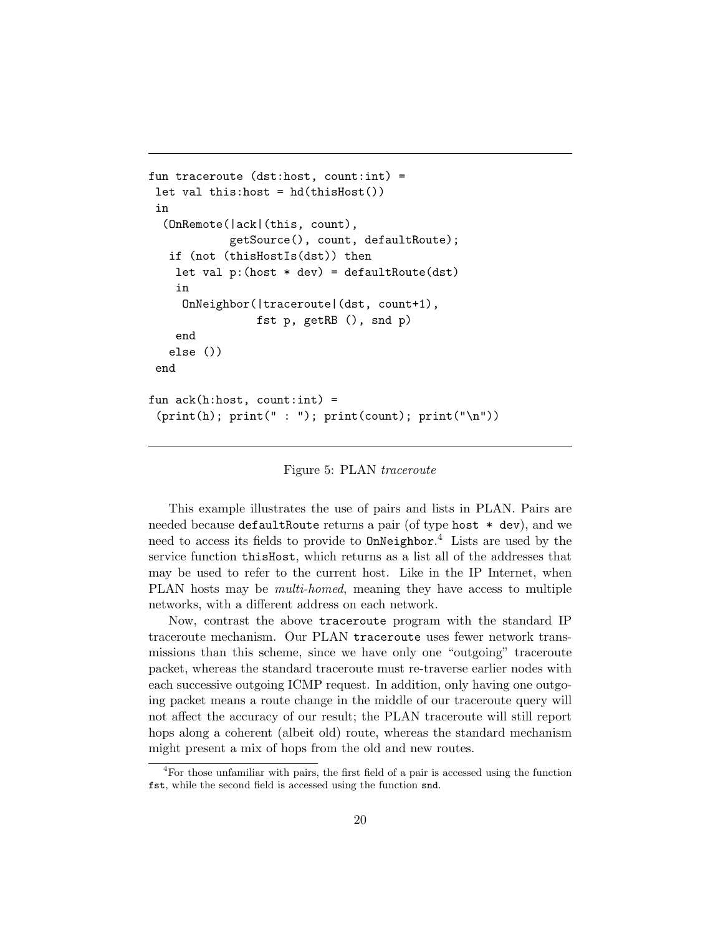```
fun traceroute (dst:host, count:int) =
let val this:host = hd(thisHost())
in
  (OnRemote(|ack|(this, count),
            getSource(), count, defaultRoute);
  if (not (thisHostIs(dst)) then
   let val p:(host * dev) = defaultRoot(dst)in
    OnNeighbor(|traceroute|(dst, count+1),
                fst p, getRB (), snd p)
    end
  else ())
end
fun ack(h:host, count:int) =
 (print(h); print(" : "); print(count); print("h"))
```
#### Figure 5: PLAN traceroute

This example illustrates the use of pairs and lists in PLAN. Pairs are needed because defaultRoute returns a pair (of type host \* dev), and we need to access its fields to provide to OnNeighbor. <sup>4</sup> Lists are used by the service function thisHost, which returns as a list all of the addresses that may be used to refer to the current host. Like in the IP Internet, when PLAN hosts may be multi-homed, meaning they have access to multiple networks, with a different address on each network.

Now, contrast the above traceroute program with the standard IP traceroute mechanism. Our PLAN traceroute uses fewer network transmissions than this scheme, since we have only one "outgoing" traceroute packet, whereas the standard traceroute must re-traverse earlier nodes with each successive outgoing ICMP request. In addition, only having one outgoing packet means a route change in the middle of our traceroute query will not affect the accuracy of our result; the PLAN traceroute will still report hops along a coherent (albeit old) route, whereas the standard mechanism might present a mix of hops from the old and new routes.

<sup>4</sup>For those unfamiliar with pairs, the first field of a pair is accessed using the function fst, while the second field is accessed using the function snd.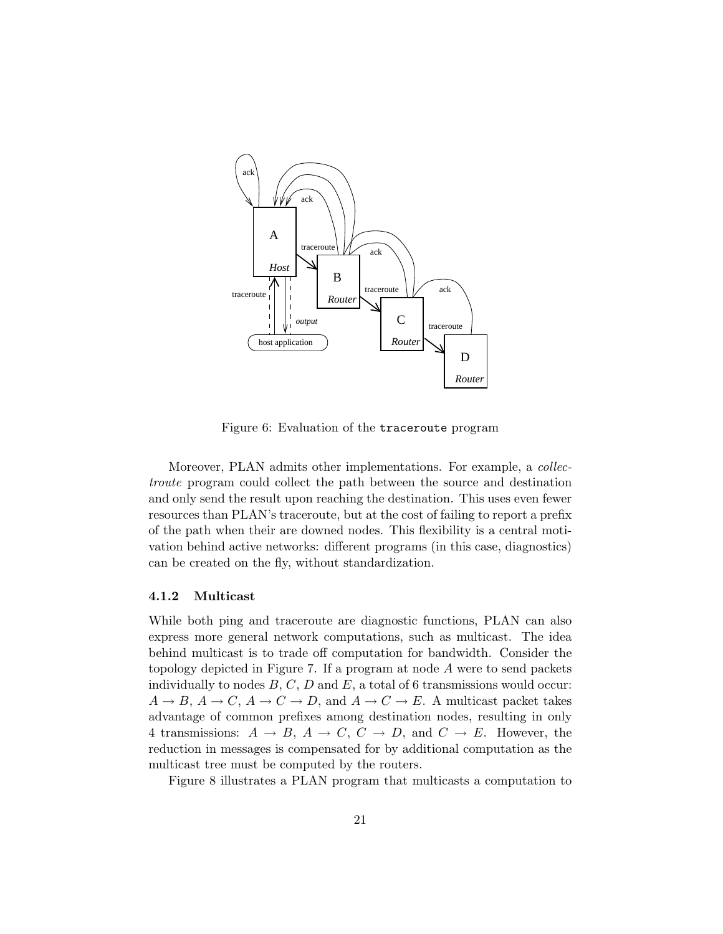

Figure 6: Evaluation of the traceroute program

Moreover, PLAN admits other implementations. For example, a *collec*troute program could collect the path between the source and destination and only send the result upon reaching the destination. This uses even fewer resources than PLAN's traceroute, but at the cost of failing to report a prefix of the path when their are downed nodes. This flexibility is a central motivation behind active networks: different programs (in this case, diagnostics) can be created on the fly, without standardization.

#### 4.1.2 Multicast

While both ping and traceroute are diagnostic functions, PLAN can also express more general network computations, such as multicast. The idea behind multicast is to trade off computation for bandwidth. Consider the topology depicted in Figure 7. If a program at node A were to send packets individually to nodes  $B, C, D$  and  $E$ , a total of 6 transmissions would occur:  $A \to B$ ,  $A \to C$ ,  $A \to C \to D$ , and  $A \to C \to E$ . A multicast packet takes advantage of common prefixes among destination nodes, resulting in only 4 transmissions:  $A \rightarrow B$ ,  $A \rightarrow C$ ,  $C \rightarrow D$ , and  $C \rightarrow E$ . However, the reduction in messages is compensated for by additional computation as the multicast tree must be computed by the routers.

Figure 8 illustrates a PLAN program that multicasts a computation to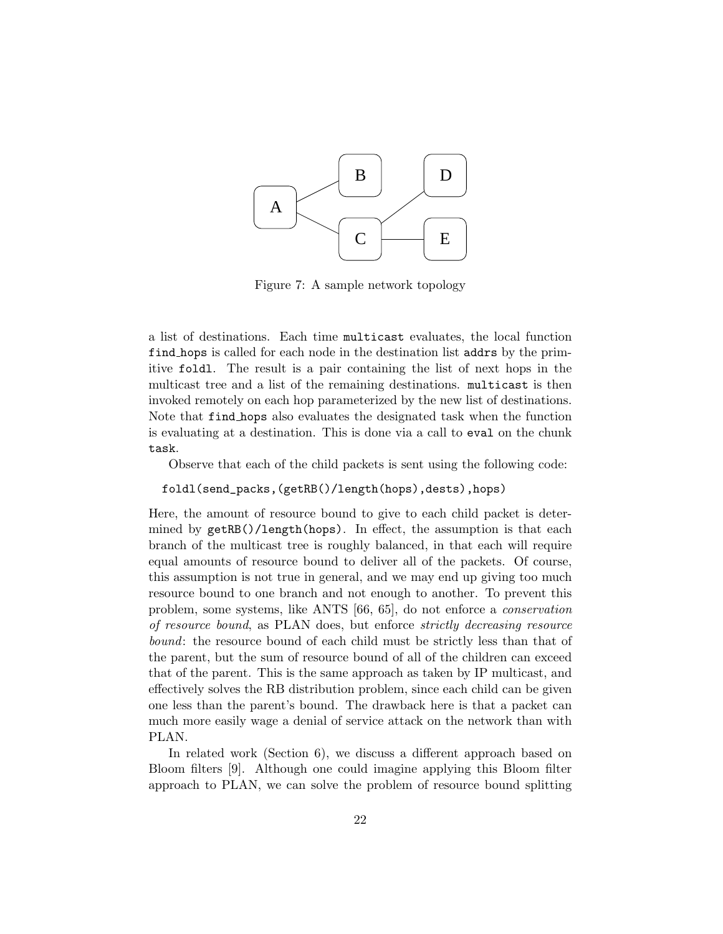

Figure 7: A sample network topology

a list of destinations. Each time multicast evaluates, the local function find hops is called for each node in the destination list addrs by the primitive foldl. The result is a pair containing the list of next hops in the multicast tree and a list of the remaining destinations. multicast is then invoked remotely on each hop parameterized by the new list of destinations. Note that find hops also evaluates the designated task when the function is evaluating at a destination. This is done via a call to eval on the chunk task.

Observe that each of the child packets is sent using the following code:

foldl(send\_packs,(getRB()/length(hops),dests),hops)

Here, the amount of resource bound to give to each child packet is determined by getRB()/length(hops). In effect, the assumption is that each branch of the multicast tree is roughly balanced, in that each will require equal amounts of resource bound to deliver all of the packets. Of course, this assumption is not true in general, and we may end up giving too much resource bound to one branch and not enough to another. To prevent this problem, some systems, like ANTS [66, 65], do not enforce a conservation of resource bound, as PLAN does, but enforce strictly decreasing resource bound: the resource bound of each child must be strictly less than that of the parent, but the sum of resource bound of all of the children can exceed that of the parent. This is the same approach as taken by IP multicast, and effectively solves the RB distribution problem, since each child can be given one less than the parent's bound. The drawback here is that a packet can much more easily wage a denial of service attack on the network than with PLAN.

In related work (Section 6), we discuss a different approach based on Bloom filters [9]. Although one could imagine applying this Bloom filter approach to PLAN, we can solve the problem of resource bound splitting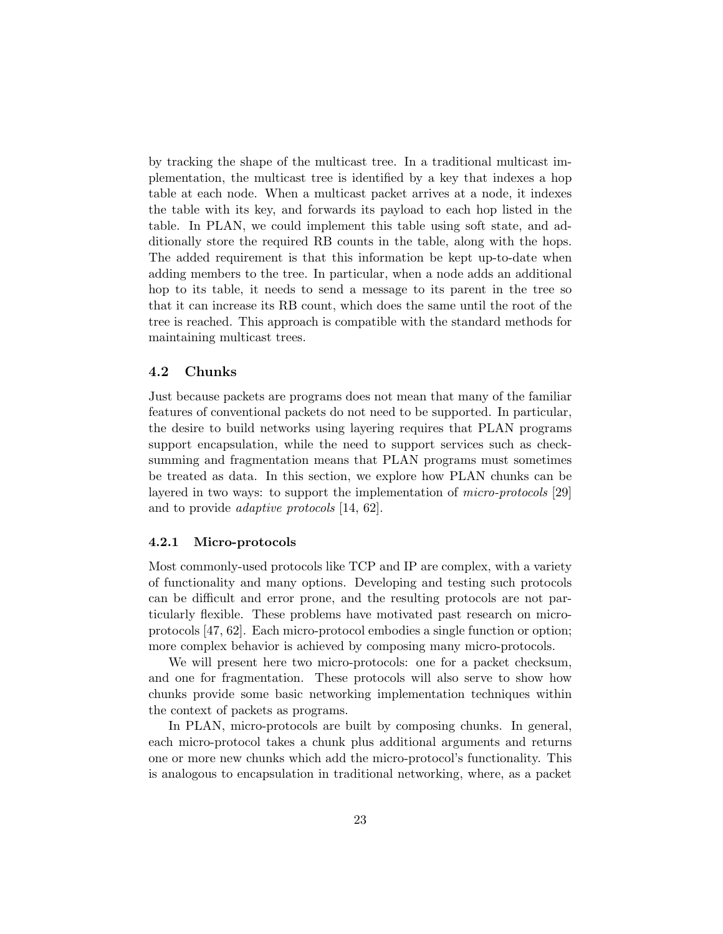by tracking the shape of the multicast tree. In a traditional multicast implementation, the multicast tree is identified by a key that indexes a hop table at each node. When a multicast packet arrives at a node, it indexes the table with its key, and forwards its payload to each hop listed in the table. In PLAN, we could implement this table using soft state, and additionally store the required RB counts in the table, along with the hops. The added requirement is that this information be kept up-to-date when adding members to the tree. In particular, when a node adds an additional hop to its table, it needs to send a message to its parent in the tree so that it can increase its RB count, which does the same until the root of the tree is reached. This approach is compatible with the standard methods for maintaining multicast trees.

### 4.2 Chunks

Just because packets are programs does not mean that many of the familiar features of conventional packets do not need to be supported. In particular, the desire to build networks using layering requires that PLAN programs support encapsulation, while the need to support services such as checksumming and fragmentation means that PLAN programs must sometimes be treated as data. In this section, we explore how PLAN chunks can be layered in two ways: to support the implementation of micro-protocols [29] and to provide adaptive protocols [14, 62].

#### 4.2.1 Micro-protocols

Most commonly-used protocols like TCP and IP are complex, with a variety of functionality and many options. Developing and testing such protocols can be difficult and error prone, and the resulting protocols are not particularly flexible. These problems have motivated past research on microprotocols [47, 62]. Each micro-protocol embodies a single function or option; more complex behavior is achieved by composing many micro-protocols.

We will present here two micro-protocols: one for a packet checksum, and one for fragmentation. These protocols will also serve to show how chunks provide some basic networking implementation techniques within the context of packets as programs.

In PLAN, micro-protocols are built by composing chunks. In general, each micro-protocol takes a chunk plus additional arguments and returns one or more new chunks which add the micro-protocol's functionality. This is analogous to encapsulation in traditional networking, where, as a packet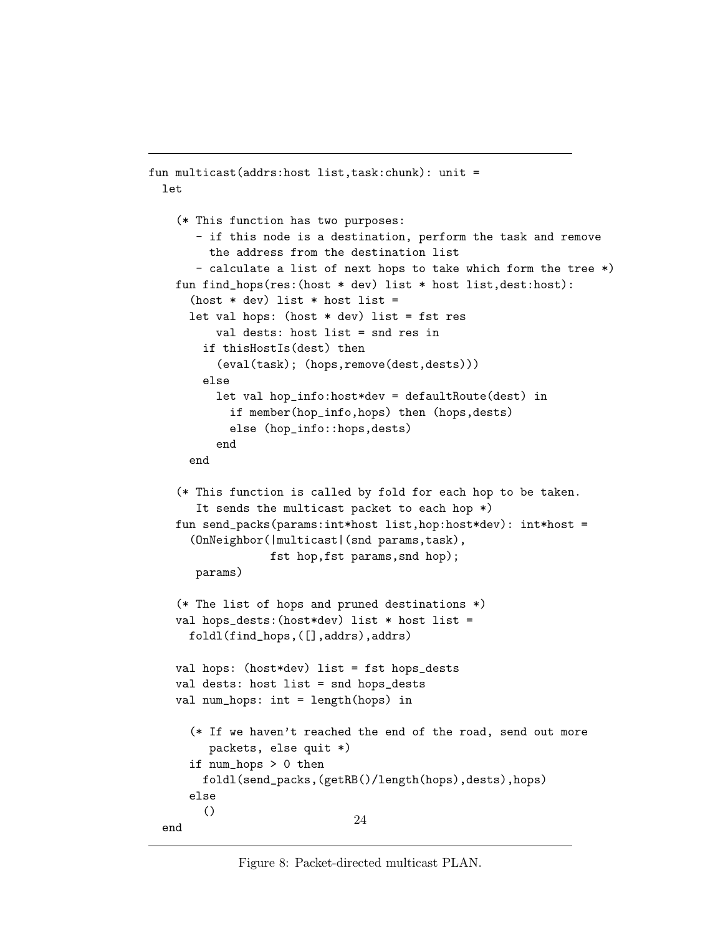```
fun multicast(addrs:host list,task:chunk): unit =
  let
    (* This function has two purposes:
       - if this node is a destination, perform the task and remove
         the address from the destination list
       - calculate a list of next hops to take which form the tree *)
    fun find_hops(res:(host * dev) list * host list,dest:host):
      (host * dev) list * host list =
      let val hops: (host * dev) list = fst res
          val dests: host list = snd res in
        if thisHostIs(dest) then
          (eval(task); (hops,remove(dest,dests)))
        else
          let val hop_info:host*dev = defaultRoute(dest) in
            if member(hop_info,hops) then (hops,dests)
            else (hop_info::hops,dests)
          end
      end
    (* This function is called by fold for each hop to be taken.
       It sends the multicast packet to each hop *)
    fun send_packs(params:int*host list,hop:host*dev): int*host =
      (OnNeighbor(|multicast|(snd params,task),
                  fst hop,fst params,snd hop);
       params)
    (* The list of hops and pruned destinations *)
    val hops_dests:(host*dev) list * host list =
      foldl(find_hops,([],addrs),addrs)
    val hops: (host*dev) list = fst hops_dests
    val dests: host list = snd hops_dests
    val num_hops: int = length(hops) in
      (* If we haven't reached the end of the road, send out more
         packets, else quit *)
      if num_hops > 0 then
        foldl(send_packs,(getRB()/length(hops),dests),hops)
      else
        ()
  end
                               24
```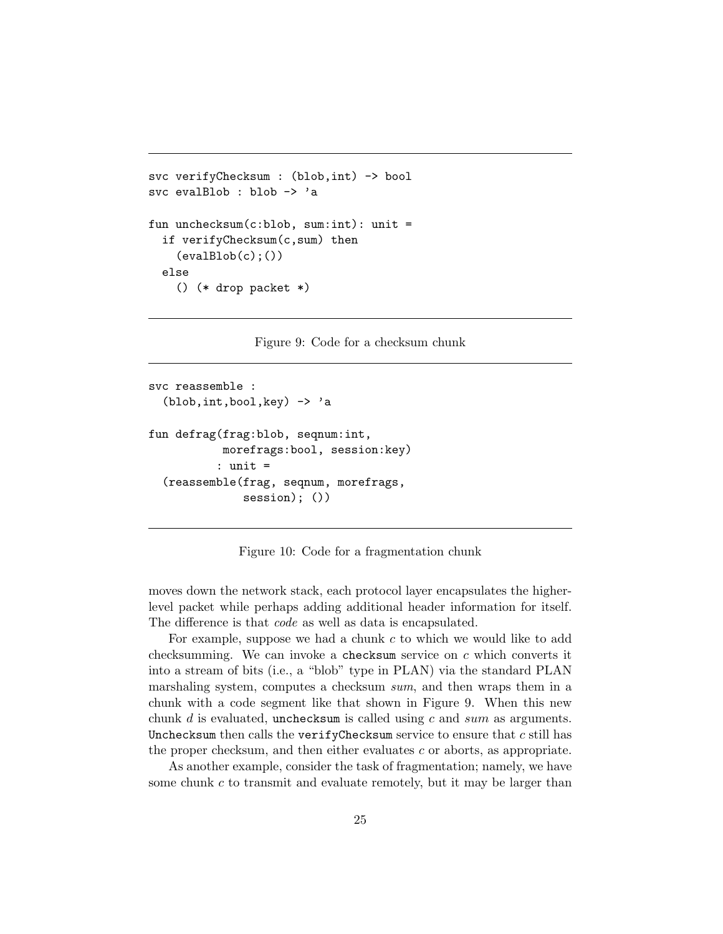```
svc verifyChecksum : (blob, int) -> bool
svc evalBlob : blob -> 'a
fun unchecksum(c:blob, sum:int): unit =
  if verifyChecksum(c,sum) then
    (evalBlob(c);())else
    () (* drop packet *)
```
Figure 9: Code for a checksum chunk

```
svc reassemble :
  (blob,int,bool,key) -> 'a
fun defrag(frag:blob, seqnum:int,
           morefrags:bool, session:key)
          : unit =
  (reassemble(frag, seqnum, morefrags,
              session); ())
```
Figure 10: Code for a fragmentation chunk

moves down the network stack, each protocol layer encapsulates the higherlevel packet while perhaps adding additional header information for itself. The difference is that code as well as data is encapsulated.

For example, suppose we had a chunk c to which we would like to add checksumming. We can invoke a checksum service on  $c$  which converts it into a stream of bits (i.e., a "blob" type in PLAN) via the standard PLAN marshaling system, computes a checksum sum, and then wraps them in a chunk with a code segment like that shown in Figure 9. When this new chunk  $d$  is evaluated, unchecksum is called using  $c$  and  $sum$  as arguments. Unchecksum then calls the verify Checksum service to ensure that  $c$  still has the proper checksum, and then either evaluates c or aborts, as appropriate.

As another example, consider the task of fragmentation; namely, we have some chunk  $c$  to transmit and evaluate remotely, but it may be larger than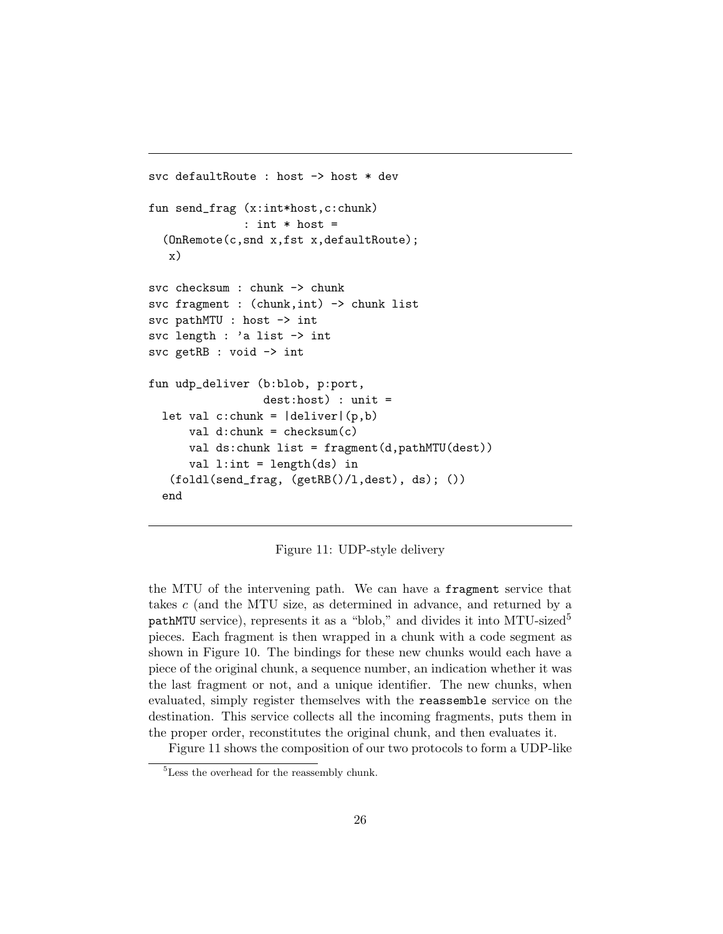```
svc defaultRoute : host -> host * dev
fun send_frag (x:int*host,c:chunk)
              : int * host =
  (OnRemote(c,snd x,fst x,defaultRoute);
   x)
svc checksum : chunk -> chunk
svc fragment : (chunk, int) -> chunk list
svc pathMTU : host -> int
svc length : 'a list -> int
svc getRB : void -> int
fun udp_deliver (b:blob, p:port,
                 dest:host) : unit =
  let val c:chunk = |deliver| (p,b)val d:chunk = checksum(c)val ds:chunk list = fragment(d,pathMTU(dest))
      val l:int = length(ds) in
   (foldl(send_frag, (getRB()/l,dest), ds); ())
  end
```
Figure 11: UDP-style delivery

the MTU of the intervening path. We can have a fragment service that takes c (and the MTU size, as determined in advance, and returned by a pathMTU service), represents it as a "blob," and divides it into MTU-sized<sup>5</sup> pieces. Each fragment is then wrapped in a chunk with a code segment as shown in Figure 10. The bindings for these new chunks would each have a piece of the original chunk, a sequence number, an indication whether it was the last fragment or not, and a unique identifier. The new chunks, when evaluated, simply register themselves with the reassemble service on the destination. This service collects all the incoming fragments, puts them in the proper order, reconstitutes the original chunk, and then evaluates it.

Figure 11 shows the composition of our two protocols to form a UDP-like

<sup>&</sup>lt;sup>5</sup>Less the overhead for the reassembly chunk.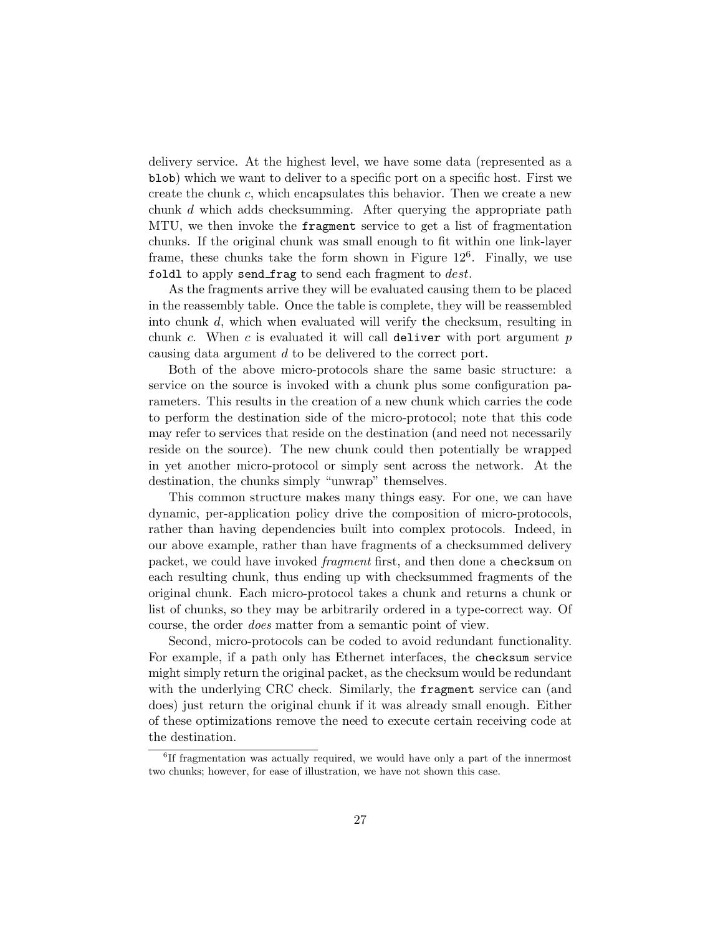delivery service. At the highest level, we have some data (represented as a blob) which we want to deliver to a specific port on a specific host. First we create the chunk c, which encapsulates this behavior. Then we create a new chunk d which adds checksumming. After querying the appropriate path MTU, we then invoke the fragment service to get a list of fragmentation chunks. If the original chunk was small enough to fit within one link-layer frame, these chunks take the form shown in Figure  $12^6$ . Finally, we use foldl to apply send frag to send each fragment to  $dest.$ 

As the fragments arrive they will be evaluated causing them to be placed in the reassembly table. Once the table is complete, they will be reassembled into chunk d, which when evaluated will verify the checksum, resulting in chunk c. When c is evaluated it will call deliver with port argument  $p$ causing data argument d to be delivered to the correct port.

Both of the above micro-protocols share the same basic structure: a service on the source is invoked with a chunk plus some configuration parameters. This results in the creation of a new chunk which carries the code to perform the destination side of the micro-protocol; note that this code may refer to services that reside on the destination (and need not necessarily reside on the source). The new chunk could then potentially be wrapped in yet another micro-protocol or simply sent across the network. At the destination, the chunks simply "unwrap" themselves.

This common structure makes many things easy. For one, we can have dynamic, per-application policy drive the composition of micro-protocols, rather than having dependencies built into complex protocols. Indeed, in our above example, rather than have fragments of a checksummed delivery packet, we could have invoked fragment first, and then done a checksum on each resulting chunk, thus ending up with checksummed fragments of the original chunk. Each micro-protocol takes a chunk and returns a chunk or list of chunks, so they may be arbitrarily ordered in a type-correct way. Of course, the order does matter from a semantic point of view.

Second, micro-protocols can be coded to avoid redundant functionality. For example, if a path only has Ethernet interfaces, the checksum service might simply return the original packet, as the checksum would be redundant with the underlying CRC check. Similarly, the fragment service can (and does) just return the original chunk if it was already small enough. Either of these optimizations remove the need to execute certain receiving code at the destination.

<sup>&</sup>lt;sup>6</sup>If fragmentation was actually required, we would have only a part of the innermost two chunks; however, for ease of illustration, we have not shown this case.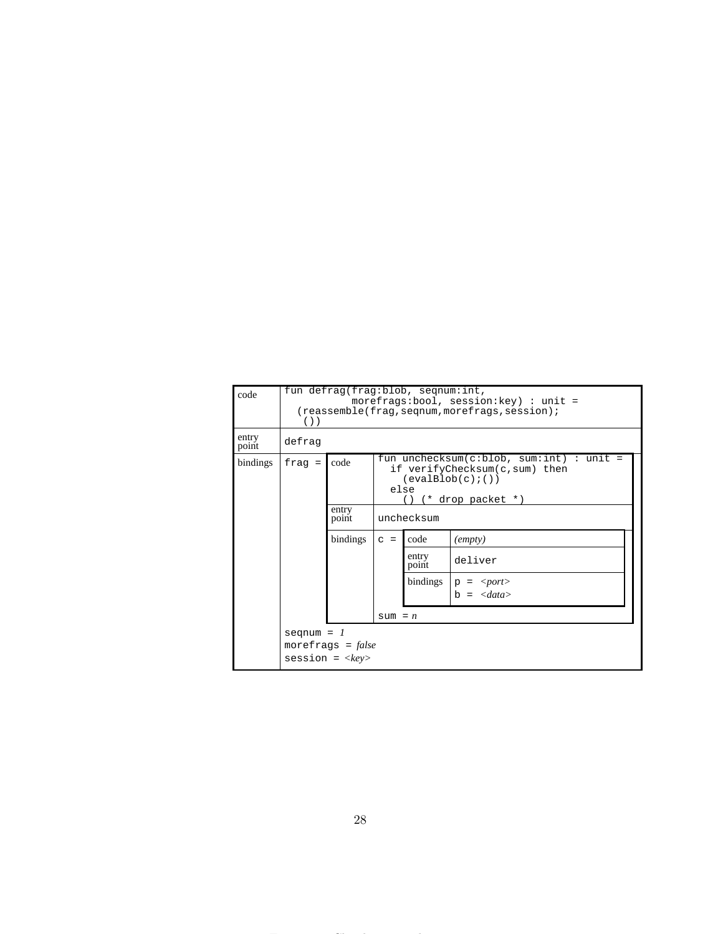| code           | fun defrag(frag:blob, seqnum:int,<br>morefrags:bool, session: key) : unit =<br>$(reassemble (frag, seqnum, morefrag, session);$<br>$( )$ ) |                                     |                                                                                                                                                       |                |                                          |
|----------------|--------------------------------------------------------------------------------------------------------------------------------------------|-------------------------------------|-------------------------------------------------------------------------------------------------------------------------------------------------------|----------------|------------------------------------------|
| entry<br>point | defrag                                                                                                                                     |                                     |                                                                                                                                                       |                |                                          |
| bindings       | $frac =$                                                                                                                                   | code<br>entry<br>point              | fun unchecksum(c:blob, sum:int) : unit =<br>if verifyChecksum(c,sum) then<br>$(\text{evalBlob}(c);())$<br>else<br>$(*$ drop packet $*)$<br>unchecksum |                |                                          |
|                |                                                                                                                                            | bindings                            | $C =$                                                                                                                                                 | code           | $\text{(empty)}$                         |
|                |                                                                                                                                            |                                     |                                                                                                                                                       | entry<br>point | deliver                                  |
|                |                                                                                                                                            |                                     |                                                                                                                                                       | bindings       | $p = port$<br>$b = \langle data \rangle$ |
|                |                                                                                                                                            |                                     | $sum = n$                                                                                                                                             |                |                                          |
|                | seqnum = $1$                                                                                                                               | morefrags = $false$<br>$sension = $ |                                                                                                                                                       |                |                                          |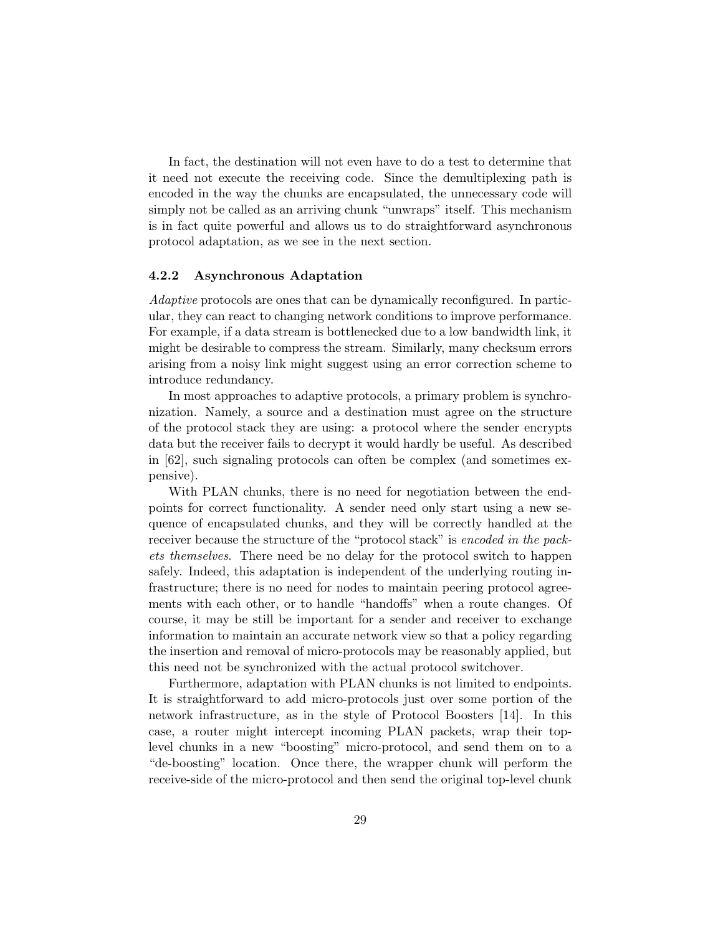In fact, the destination will not even have to do a test to determine that it need not execute the receiving code. Since the demultiplexing path is encoded in the way the chunks are encapsulated, the unnecessary code will simply not be called as an arriving chunk "unwraps" itself. This mechanism is in fact quite powerful and allows us to do straightforward asynchronous protocol adaptation, as we see in the next section.

#### 4.2.2 Asynchronous Adaptation

Adaptive protocols are ones that can be dynamically reconfigured. In particular, they can react to changing network conditions to improve performance. For example, if a data stream is bottlenecked due to a low bandwidth link, it might be desirable to compress the stream. Similarly, many checksum errors arising from a noisy link might suggest using an error correction scheme to introduce redundancy.

In most approaches to adaptive protocols, a primary problem is synchronization. Namely, a source and a destination must agree on the structure of the protocol stack they are using: a protocol where the sender encrypts data but the receiver fails to decrypt it would hardly be useful. As described in [62], such signaling protocols can often be complex (and sometimes expensive).

With PLAN chunks, there is no need for negotiation between the endpoints for correct functionality. A sender need only start using a new sequence of encapsulated chunks, and they will be correctly handled at the receiver because the structure of the "protocol stack" is encoded in the packets themselves. There need be no delay for the protocol switch to happen safely. Indeed, this adaptation is independent of the underlying routing infrastructure; there is no need for nodes to maintain peering protocol agreements with each other, or to handle "handoffs" when a route changes. Of course, it may be still be important for a sender and receiver to exchange information to maintain an accurate network view so that a policy regarding the insertion and removal of micro-protocols may be reasonably applied, but this need not be synchronized with the actual protocol switchover.

Furthermore, adaptation with PLAN chunks is not limited to endpoints. It is straightforward to add micro-protocols just over some portion of the network infrastructure, as in the style of Protocol Boosters [14]. In this case, a router might intercept incoming PLAN packets, wrap their toplevel chunks in a new "boosting" micro-protocol, and send them on to a "de-boosting" location. Once there, the wrapper chunk will perform the receive-side of the micro-protocol and then send the original top-level chunk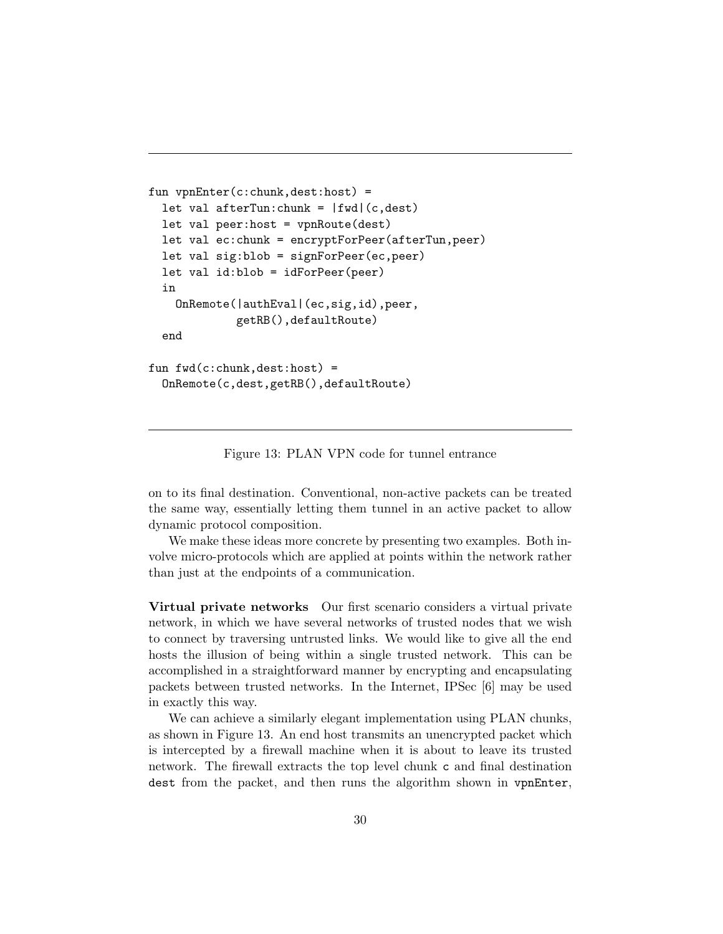```
fun vpnEnter(c:chunk,dest:host) =
  let val afterTun: chunk = |fwd| (c, dest)
  let val peer:host = vpnRoute(dest)
  let val ec:chunk = encryptForPeer(afterTun,peer)
  let val sig:blob = signForPeer(ec,peer)
  let val id:blob = idForPeer(peer)
  in
    OnRemote(|authEval|(ec,sig,id),peer,
             getRB(),defaultRoute)
  end
fun fwd(c:chunk,dest:host) =
  OnRemote(c,dest,getRB(),defaultRoute)
```
Figure 13: PLAN VPN code for tunnel entrance

on to its final destination. Conventional, non-active packets can be treated the same way, essentially letting them tunnel in an active packet to allow dynamic protocol composition.

We make these ideas more concrete by presenting two examples. Both involve micro-protocols which are applied at points within the network rather than just at the endpoints of a communication.

Virtual private networks Our first scenario considers a virtual private network, in which we have several networks of trusted nodes that we wish to connect by traversing untrusted links. We would like to give all the end hosts the illusion of being within a single trusted network. This can be accomplished in a straightforward manner by encrypting and encapsulating packets between trusted networks. In the Internet, IPSec [6] may be used in exactly this way.

We can achieve a similarly elegant implementation using PLAN chunks, as shown in Figure 13. An end host transmits an unencrypted packet which is intercepted by a firewall machine when it is about to leave its trusted network. The firewall extracts the top level chunk c and final destination dest from the packet, and then runs the algorithm shown in vpnEnter,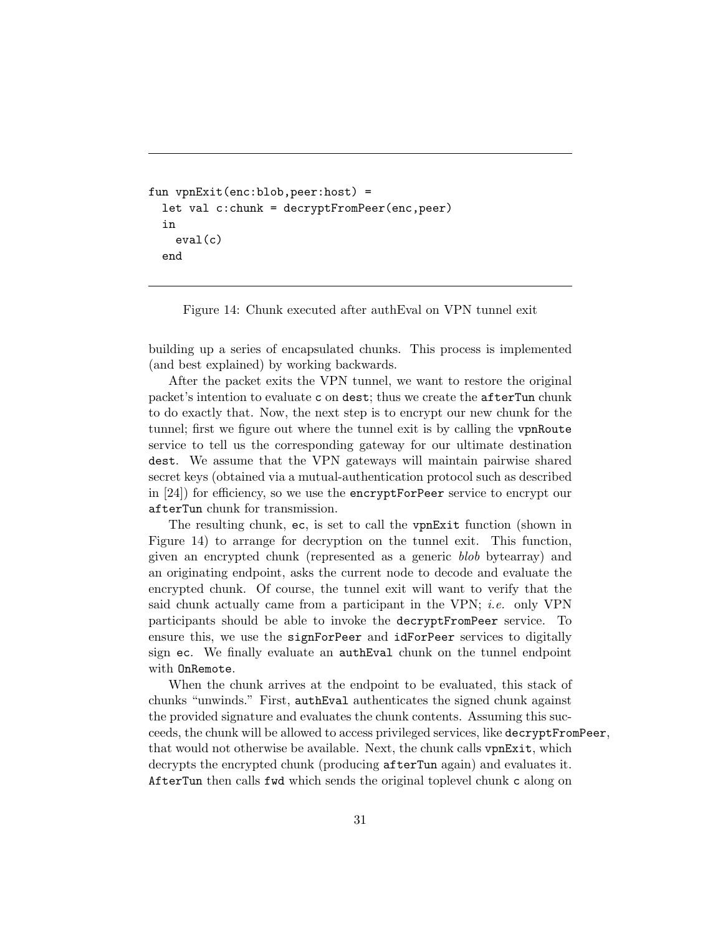```
fun vpnExit(enc:blob,peer:host) =
  let val c:chunk = decryptFromPeer(enc,peer)
  in
    eval(c)
  end
```
Figure 14: Chunk executed after authEval on VPN tunnel exit

building up a series of encapsulated chunks. This process is implemented (and best explained) by working backwards.

After the packet exits the VPN tunnel, we want to restore the original packet's intention to evaluate c on dest; thus we create the afterTun chunk to do exactly that. Now, the next step is to encrypt our new chunk for the tunnel; first we figure out where the tunnel exit is by calling the vpnRoute service to tell us the corresponding gateway for our ultimate destination dest. We assume that the VPN gateways will maintain pairwise shared secret keys (obtained via a mutual-authentication protocol such as described in [24]) for efficiency, so we use the encryptForPeer service to encrypt our afterTun chunk for transmission.

The resulting chunk, ec, is set to call the vpnExit function (shown in Figure 14) to arrange for decryption on the tunnel exit. This function, given an encrypted chunk (represented as a generic blob bytearray) and an originating endpoint, asks the current node to decode and evaluate the encrypted chunk. Of course, the tunnel exit will want to verify that the said chunk actually came from a participant in the VPN; i.e. only VPN participants should be able to invoke the decryptFromPeer service. To ensure this, we use the signForPeer and idForPeer services to digitally sign ec. We finally evaluate an authEval chunk on the tunnel endpoint with OnRemote.

When the chunk arrives at the endpoint to be evaluated, this stack of chunks "unwinds." First, authEval authenticates the signed chunk against the provided signature and evaluates the chunk contents. Assuming this succeeds, the chunk will be allowed to access privileged services, like decryptFromPeer, that would not otherwise be available. Next, the chunk calls vpnExit, which decrypts the encrypted chunk (producing afterTun again) and evaluates it. AfterTun then calls fwd which sends the original toplevel chunk c along on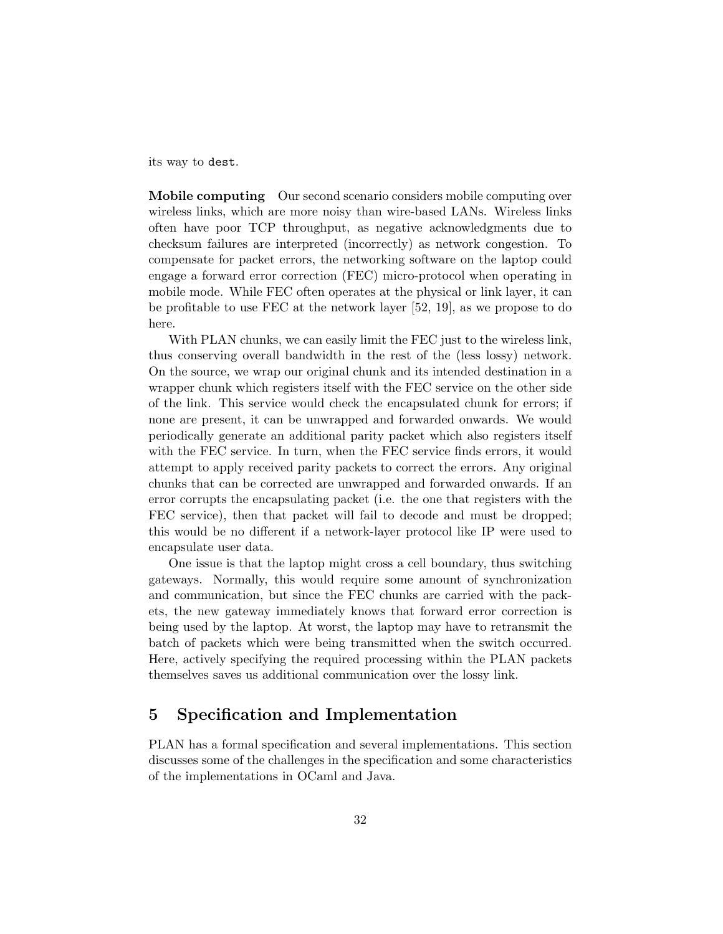its way to dest.

Mobile computing Our second scenario considers mobile computing over wireless links, which are more noisy than wire-based LANs. Wireless links often have poor TCP throughput, as negative acknowledgments due to checksum failures are interpreted (incorrectly) as network congestion. To compensate for packet errors, the networking software on the laptop could engage a forward error correction (FEC) micro-protocol when operating in mobile mode. While FEC often operates at the physical or link layer, it can be profitable to use FEC at the network layer [52, 19], as we propose to do here.

With PLAN chunks, we can easily limit the FEC just to the wireless link, thus conserving overall bandwidth in the rest of the (less lossy) network. On the source, we wrap our original chunk and its intended destination in a wrapper chunk which registers itself with the FEC service on the other side of the link. This service would check the encapsulated chunk for errors; if none are present, it can be unwrapped and forwarded onwards. We would periodically generate an additional parity packet which also registers itself with the FEC service. In turn, when the FEC service finds errors, it would attempt to apply received parity packets to correct the errors. Any original chunks that can be corrected are unwrapped and forwarded onwards. If an error corrupts the encapsulating packet (i.e. the one that registers with the FEC service), then that packet will fail to decode and must be dropped; this would be no different if a network-layer protocol like IP were used to encapsulate user data.

One issue is that the laptop might cross a cell boundary, thus switching gateways. Normally, this would require some amount of synchronization and communication, but since the FEC chunks are carried with the packets, the new gateway immediately knows that forward error correction is being used by the laptop. At worst, the laptop may have to retransmit the batch of packets which were being transmitted when the switch occurred. Here, actively specifying the required processing within the PLAN packets themselves saves us additional communication over the lossy link.

## 5 Specification and Implementation

PLAN has a formal specification and several implementations. This section discusses some of the challenges in the specification and some characteristics of the implementations in OCaml and Java.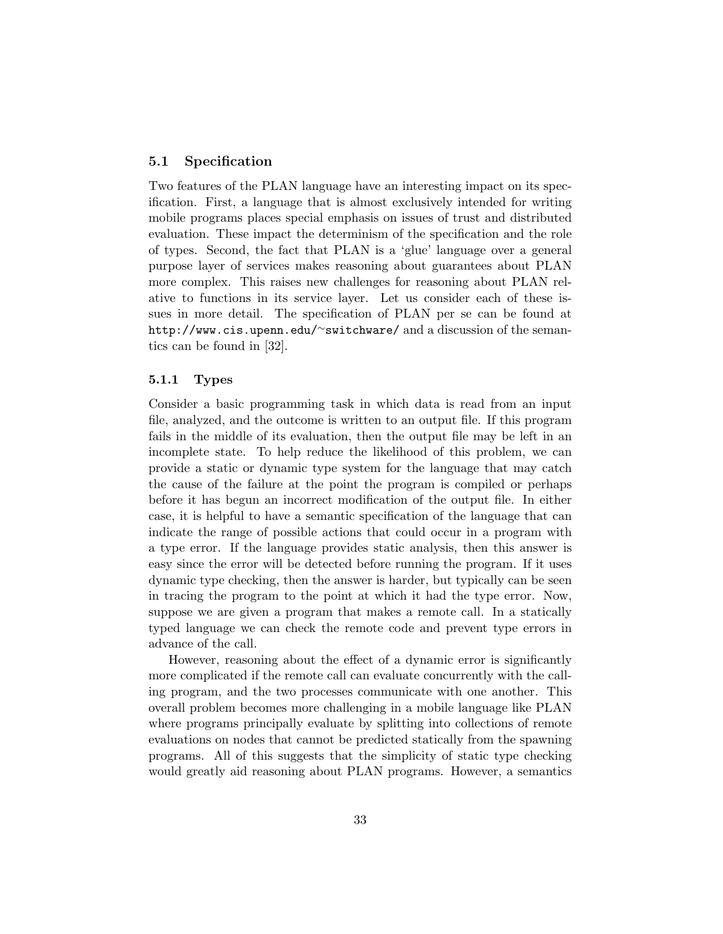## 5.1 Specification

Two features of the PLAN language have an interesting impact on its specification. First, a language that is almost exclusively intended for writing mobile programs places special emphasis on issues of trust and distributed evaluation. These impact the determinism of the specification and the role of types. Second, the fact that PLAN is a 'glue' language over a general purpose layer of services makes reasoning about guarantees about PLAN more complex. This raises new challenges for reasoning about PLAN relative to functions in its service layer. Let us consider each of these issues in more detail. The specification of PLAN per se can be found at http://www.cis.upenn.edu/∼switchware/ and a discussion of the semantics can be found in [32].

#### 5.1.1 Types

Consider a basic programming task in which data is read from an input file, analyzed, and the outcome is written to an output file. If this program fails in the middle of its evaluation, then the output file may be left in an incomplete state. To help reduce the likelihood of this problem, we can provide a static or dynamic type system for the language that may catch the cause of the failure at the point the program is compiled or perhaps before it has begun an incorrect modification of the output file. In either case, it is helpful to have a semantic specification of the language that can indicate the range of possible actions that could occur in a program with a type error. If the language provides static analysis, then this answer is easy since the error will be detected before running the program. If it uses dynamic type checking, then the answer is harder, but typically can be seen in tracing the program to the point at which it had the type error. Now, suppose we are given a program that makes a remote call. In a statically typed language we can check the remote code and prevent type errors in advance of the call.

However, reasoning about the effect of a dynamic error is significantly more complicated if the remote call can evaluate concurrently with the calling program, and the two processes communicate with one another. This overall problem becomes more challenging in a mobile language like PLAN where programs principally evaluate by splitting into collections of remote evaluations on nodes that cannot be predicted statically from the spawning programs. All of this suggests that the simplicity of static type checking would greatly aid reasoning about PLAN programs. However, a semantics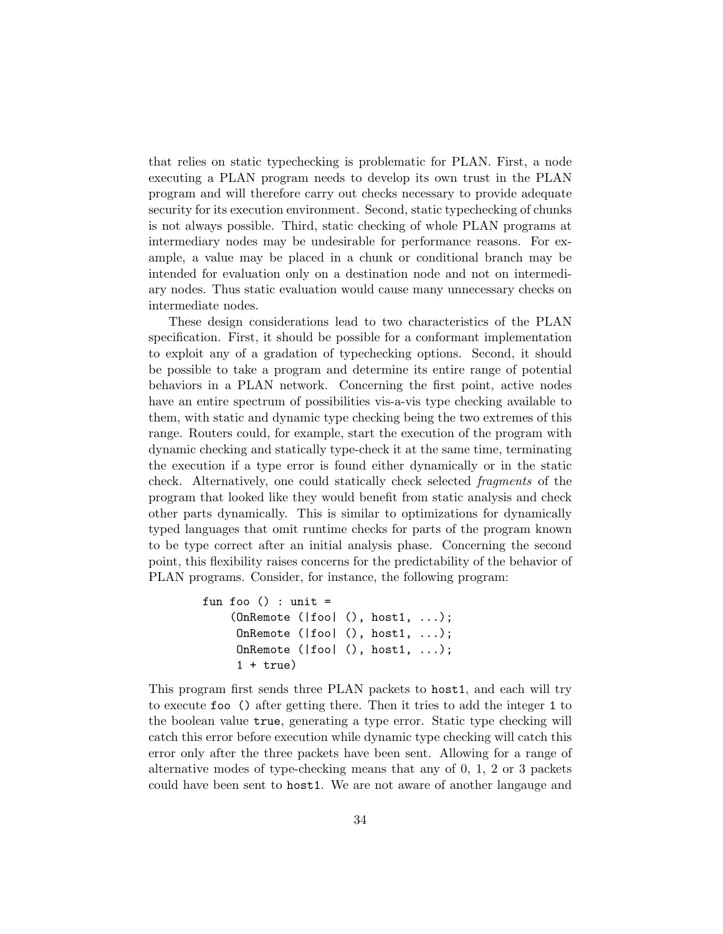that relies on static typechecking is problematic for PLAN. First, a node executing a PLAN program needs to develop its own trust in the PLAN program and will therefore carry out checks necessary to provide adequate security for its execution environment. Second, static typechecking of chunks is not always possible. Third, static checking of whole PLAN programs at intermediary nodes may be undesirable for performance reasons. For example, a value may be placed in a chunk or conditional branch may be intended for evaluation only on a destination node and not on intermediary nodes. Thus static evaluation would cause many unnecessary checks on intermediate nodes.

These design considerations lead to two characteristics of the PLAN specification. First, it should be possible for a conformant implementation to exploit any of a gradation of typechecking options. Second, it should be possible to take a program and determine its entire range of potential behaviors in a PLAN network. Concerning the first point, active nodes have an entire spectrum of possibilities vis-a-vis type checking available to them, with static and dynamic type checking being the two extremes of this range. Routers could, for example, start the execution of the program with dynamic checking and statically type-check it at the same time, terminating the execution if a type error is found either dynamically or in the static check. Alternatively, one could statically check selected fragments of the program that looked like they would benefit from static analysis and check other parts dynamically. This is similar to optimizations for dynamically typed languages that omit runtime checks for parts of the program known to be type correct after an initial analysis phase. Concerning the second point, this flexibility raises concerns for the predictability of the behavior of PLAN programs. Consider, for instance, the following program:

```
fun foo () : unit =
    (OnRemote (|foo| (), host1, ...);
     OnRemote (|foo| (), host1, ...);
     OnRemote (|foo| (), host1, ...);
     1 + true)
```
This program first sends three PLAN packets to host1, and each will try to execute foo () after getting there. Then it tries to add the integer 1 to the boolean value true, generating a type error. Static type checking will catch this error before execution while dynamic type checking will catch this error only after the three packets have been sent. Allowing for a range of alternative modes of type-checking means that any of 0, 1, 2 or 3 packets could have been sent to host1. We are not aware of another langauge and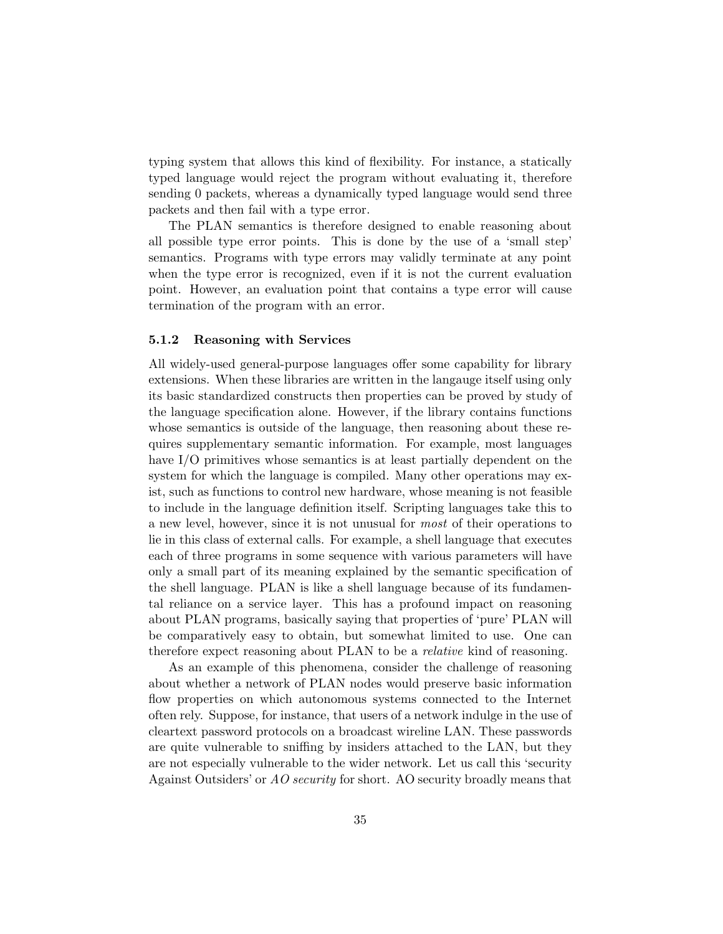typing system that allows this kind of flexibility. For instance, a statically typed language would reject the program without evaluating it, therefore sending 0 packets, whereas a dynamically typed language would send three packets and then fail with a type error.

The PLAN semantics is therefore designed to enable reasoning about all possible type error points. This is done by the use of a 'small step' semantics. Programs with type errors may validly terminate at any point when the type error is recognized, even if it is not the current evaluation point. However, an evaluation point that contains a type error will cause termination of the program with an error.

## 5.1.2 Reasoning with Services

All widely-used general-purpose languages offer some capability for library extensions. When these libraries are written in the langauge itself using only its basic standardized constructs then properties can be proved by study of the language specification alone. However, if the library contains functions whose semantics is outside of the language, then reasoning about these requires supplementary semantic information. For example, most languages have I/O primitives whose semantics is at least partially dependent on the system for which the language is compiled. Many other operations may exist, such as functions to control new hardware, whose meaning is not feasible to include in the language definition itself. Scripting languages take this to a new level, however, since it is not unusual for most of their operations to lie in this class of external calls. For example, a shell language that executes each of three programs in some sequence with various parameters will have only a small part of its meaning explained by the semantic specification of the shell language. PLAN is like a shell language because of its fundamental reliance on a service layer. This has a profound impact on reasoning about PLAN programs, basically saying that properties of 'pure' PLAN will be comparatively easy to obtain, but somewhat limited to use. One can therefore expect reasoning about PLAN to be a relative kind of reasoning.

As an example of this phenomena, consider the challenge of reasoning about whether a network of PLAN nodes would preserve basic information flow properties on which autonomous systems connected to the Internet often rely. Suppose, for instance, that users of a network indulge in the use of cleartext password protocols on a broadcast wireline LAN. These passwords are quite vulnerable to sniffing by insiders attached to the LAN, but they are not especially vulnerable to the wider network. Let us call this 'security Against Outsiders' or *AO security* for short. AO security broadly means that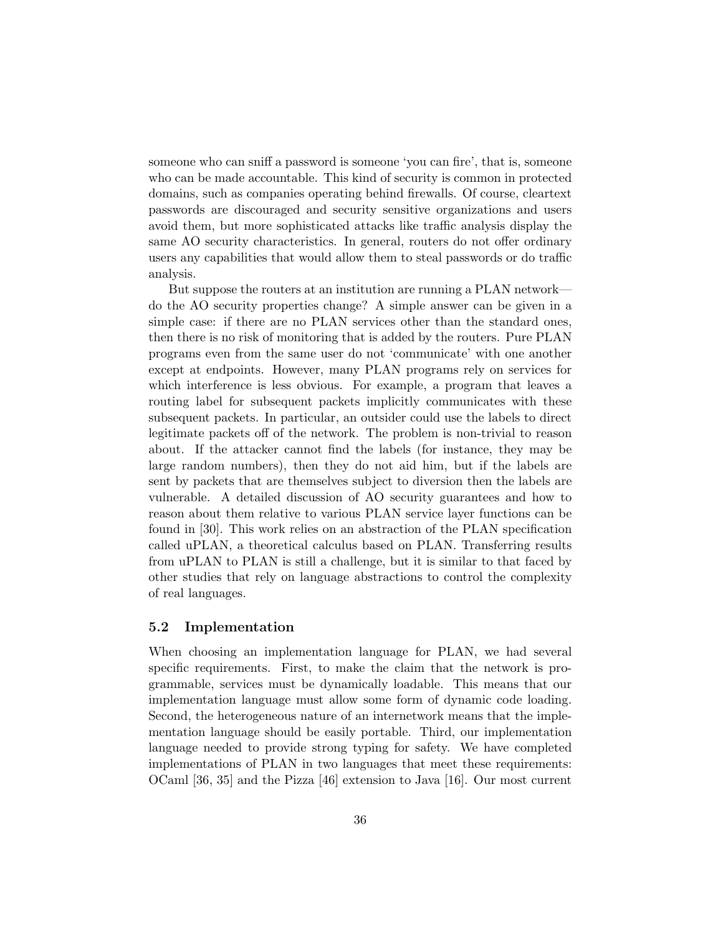someone who can sniff a password is someone 'you can fire', that is, someone who can be made accountable. This kind of security is common in protected domains, such as companies operating behind firewalls. Of course, cleartext passwords are discouraged and security sensitive organizations and users avoid them, but more sophisticated attacks like traffic analysis display the same AO security characteristics. In general, routers do not offer ordinary users any capabilities that would allow them to steal passwords or do traffic analysis.

But suppose the routers at an institution are running a PLAN network do the AO security properties change? A simple answer can be given in a simple case: if there are no PLAN services other than the standard ones, then there is no risk of monitoring that is added by the routers. Pure PLAN programs even from the same user do not 'communicate' with one another except at endpoints. However, many PLAN programs rely on services for which interference is less obvious. For example, a program that leaves a routing label for subsequent packets implicitly communicates with these subsequent packets. In particular, an outsider could use the labels to direct legitimate packets off of the network. The problem is non-trivial to reason about. If the attacker cannot find the labels (for instance, they may be large random numbers), then they do not aid him, but if the labels are sent by packets that are themselves subject to diversion then the labels are vulnerable. A detailed discussion of AO security guarantees and how to reason about them relative to various PLAN service layer functions can be found in [30]. This work relies on an abstraction of the PLAN specification called uPLAN, a theoretical calculus based on PLAN. Transferring results from uPLAN to PLAN is still a challenge, but it is similar to that faced by other studies that rely on language abstractions to control the complexity of real languages.

### 5.2 Implementation

When choosing an implementation language for PLAN, we had several specific requirements. First, to make the claim that the network is programmable, services must be dynamically loadable. This means that our implementation language must allow some form of dynamic code loading. Second, the heterogeneous nature of an internetwork means that the implementation language should be easily portable. Third, our implementation language needed to provide strong typing for safety. We have completed implementations of PLAN in two languages that meet these requirements: OCaml [36, 35] and the Pizza [46] extension to Java [16]. Our most current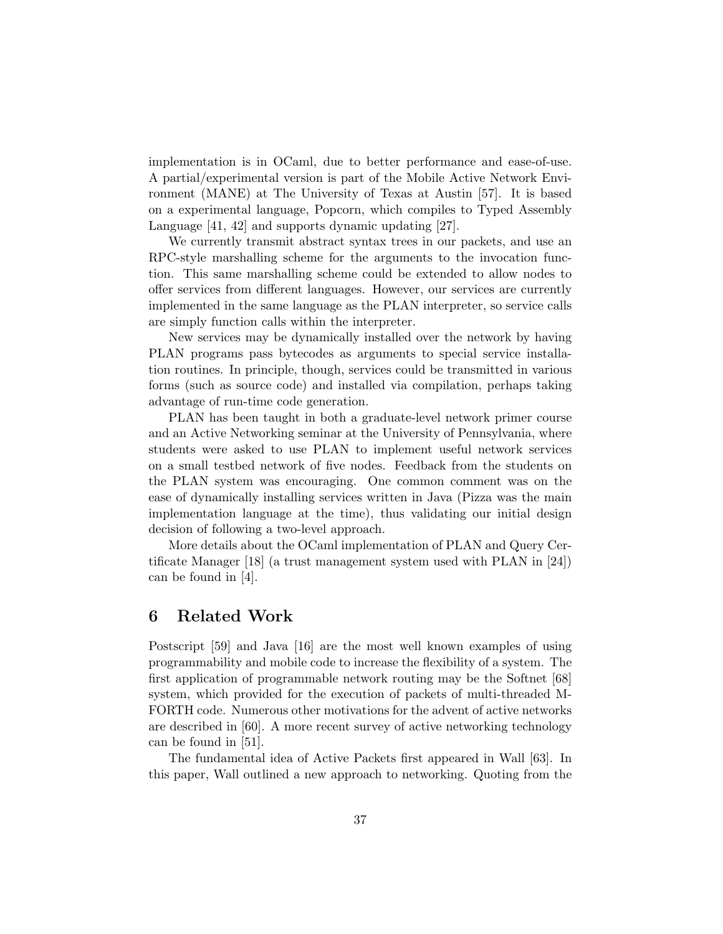implementation is in OCaml, due to better performance and ease-of-use. A partial/experimental version is part of the Mobile Active Network Environment (MANE) at The University of Texas at Austin [57]. It is based on a experimental language, Popcorn, which compiles to Typed Assembly Language [41, 42] and supports dynamic updating [27].

We currently transmit abstract syntax trees in our packets, and use an RPC-style marshalling scheme for the arguments to the invocation function. This same marshalling scheme could be extended to allow nodes to offer services from different languages. However, our services are currently implemented in the same language as the PLAN interpreter, so service calls are simply function calls within the interpreter.

New services may be dynamically installed over the network by having PLAN programs pass bytecodes as arguments to special service installation routines. In principle, though, services could be transmitted in various forms (such as source code) and installed via compilation, perhaps taking advantage of run-time code generation.

PLAN has been taught in both a graduate-level network primer course and an Active Networking seminar at the University of Pennsylvania, where students were asked to use PLAN to implement useful network services on a small testbed network of five nodes. Feedback from the students on the PLAN system was encouraging. One common comment was on the ease of dynamically installing services written in Java (Pizza was the main implementation language at the time), thus validating our initial design decision of following a two-level approach.

More details about the OCaml implementation of PLAN and Query Certificate Manager [18] (a trust management system used with PLAN in [24]) can be found in [4].

## 6 Related Work

Postscript [59] and Java [16] are the most well known examples of using programmability and mobile code to increase the flexibility of a system. The first application of programmable network routing may be the Softnet [68] system, which provided for the execution of packets of multi-threaded M-FORTH code. Numerous other motivations for the advent of active networks are described in [60]. A more recent survey of active networking technology can be found in [51].

The fundamental idea of Active Packets first appeared in Wall [63]. In this paper, Wall outlined a new approach to networking. Quoting from the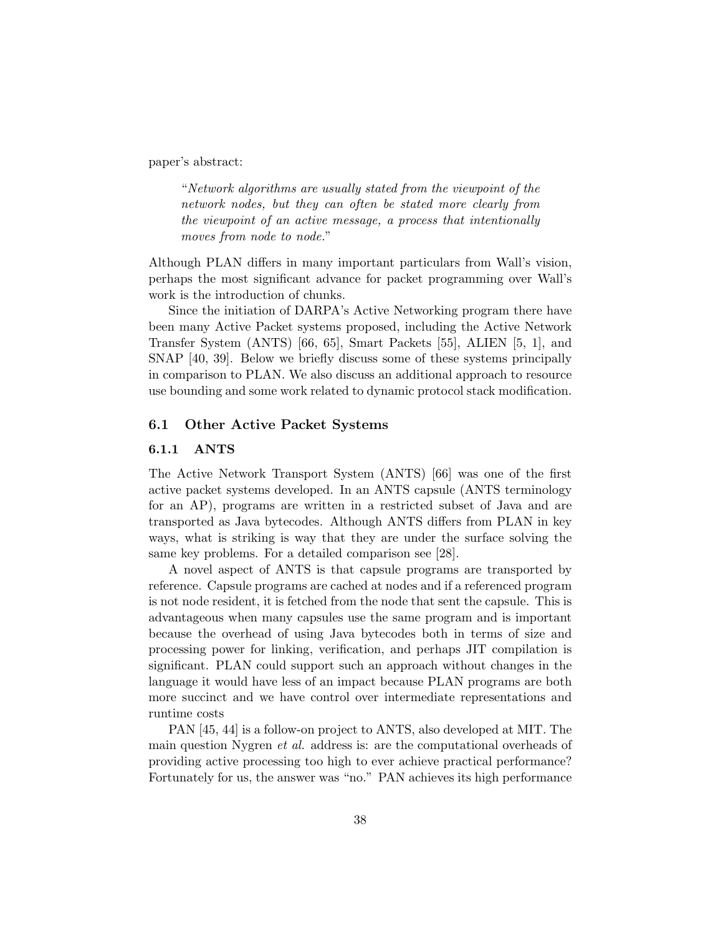paper's abstract:

"Network algorithms are usually stated from the viewpoint of the network nodes, but they can often be stated more clearly from the viewpoint of an active message, a process that intentionally moves from node to node."

Although PLAN differs in many important particulars from Wall's vision, perhaps the most significant advance for packet programming over Wall's work is the introduction of chunks.

Since the initiation of DARPA's Active Networking program there have been many Active Packet systems proposed, including the Active Network Transfer System (ANTS) [66, 65], Smart Packets [55], ALIEN [5, 1], and SNAP [40, 39]. Below we briefly discuss some of these systems principally in comparison to PLAN. We also discuss an additional approach to resource use bounding and some work related to dynamic protocol stack modification.

## 6.1 Other Active Packet Systems

## 6.1.1 ANTS

The Active Network Transport System (ANTS) [66] was one of the first active packet systems developed. In an ANTS capsule (ANTS terminology for an AP), programs are written in a restricted subset of Java and are transported as Java bytecodes. Although ANTS differs from PLAN in key ways, what is striking is way that they are under the surface solving the same key problems. For a detailed comparison see [28].

A novel aspect of ANTS is that capsule programs are transported by reference. Capsule programs are cached at nodes and if a referenced program is not node resident, it is fetched from the node that sent the capsule. This is advantageous when many capsules use the same program and is important because the overhead of using Java bytecodes both in terms of size and processing power for linking, verification, and perhaps JIT compilation is significant. PLAN could support such an approach without changes in the language it would have less of an impact because PLAN programs are both more succinct and we have control over intermediate representations and runtime costs

PAN [45, 44] is a follow-on project to ANTS, also developed at MIT. The main question Nygren et al. address is: are the computational overheads of providing active processing too high to ever achieve practical performance? Fortunately for us, the answer was "no." PAN achieves its high performance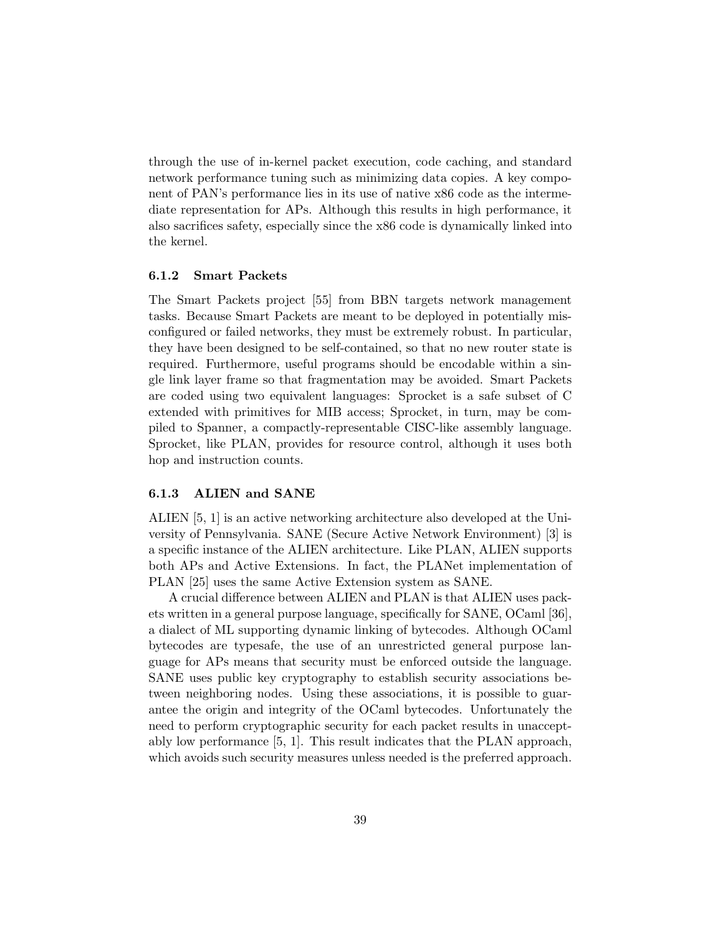through the use of in-kernel packet execution, code caching, and standard network performance tuning such as minimizing data copies. A key component of PAN's performance lies in its use of native x86 code as the intermediate representation for APs. Although this results in high performance, it also sacrifices safety, especially since the x86 code is dynamically linked into the kernel.

#### 6.1.2 Smart Packets

The Smart Packets project [55] from BBN targets network management tasks. Because Smart Packets are meant to be deployed in potentially misconfigured or failed networks, they must be extremely robust. In particular, they have been designed to be self-contained, so that no new router state is required. Furthermore, useful programs should be encodable within a single link layer frame so that fragmentation may be avoided. Smart Packets are coded using two equivalent languages: Sprocket is a safe subset of C extended with primitives for MIB access; Sprocket, in turn, may be compiled to Spanner, a compactly-representable CISC-like assembly language. Sprocket, like PLAN, provides for resource control, although it uses both hop and instruction counts.

#### 6.1.3 ALIEN and SANE

ALIEN [5, 1] is an active networking architecture also developed at the University of Pennsylvania. SANE (Secure Active Network Environment) [3] is a specific instance of the ALIEN architecture. Like PLAN, ALIEN supports both APs and Active Extensions. In fact, the PLANet implementation of PLAN [25] uses the same Active Extension system as SANE.

A crucial difference between ALIEN and PLAN is that ALIEN uses packets written in a general purpose language, specifically for SANE, OCaml [36], a dialect of ML supporting dynamic linking of bytecodes. Although OCaml bytecodes are typesafe, the use of an unrestricted general purpose language for APs means that security must be enforced outside the language. SANE uses public key cryptography to establish security associations between neighboring nodes. Using these associations, it is possible to guarantee the origin and integrity of the OCaml bytecodes. Unfortunately the need to perform cryptographic security for each packet results in unacceptably low performance [5, 1]. This result indicates that the PLAN approach, which avoids such security measures unless needed is the preferred approach.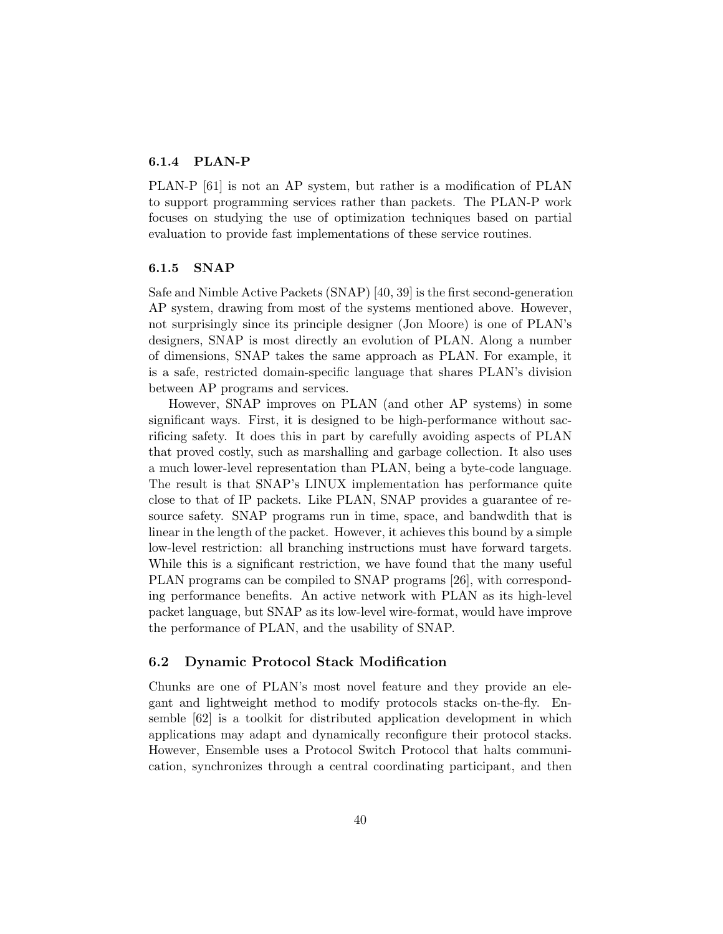## 6.1.4 PLAN-P

PLAN-P [61] is not an AP system, but rather is a modification of PLAN to support programming services rather than packets. The PLAN-P work focuses on studying the use of optimization techniques based on partial evaluation to provide fast implementations of these service routines.

## 6.1.5 SNAP

Safe and Nimble Active Packets (SNAP) [40, 39] is the first second-generation AP system, drawing from most of the systems mentioned above. However, not surprisingly since its principle designer (Jon Moore) is one of PLAN's designers, SNAP is most directly an evolution of PLAN. Along a number of dimensions, SNAP takes the same approach as PLAN. For example, it is a safe, restricted domain-specific language that shares PLAN's division between AP programs and services.

However, SNAP improves on PLAN (and other AP systems) in some significant ways. First, it is designed to be high-performance without sacrificing safety. It does this in part by carefully avoiding aspects of PLAN that proved costly, such as marshalling and garbage collection. It also uses a much lower-level representation than PLAN, being a byte-code language. The result is that SNAP's LINUX implementation has performance quite close to that of IP packets. Like PLAN, SNAP provides a guarantee of resource safety. SNAP programs run in time, space, and bandwdith that is linear in the length of the packet. However, it achieves this bound by a simple low-level restriction: all branching instructions must have forward targets. While this is a significant restriction, we have found that the many useful PLAN programs can be compiled to SNAP programs [26], with corresponding performance benefits. An active network with PLAN as its high-level packet language, but SNAP as its low-level wire-format, would have improve the performance of PLAN, and the usability of SNAP.

## 6.2 Dynamic Protocol Stack Modification

Chunks are one of PLAN's most novel feature and they provide an elegant and lightweight method to modify protocols stacks on-the-fly. Ensemble [62] is a toolkit for distributed application development in which applications may adapt and dynamically reconfigure their protocol stacks. However, Ensemble uses a Protocol Switch Protocol that halts communication, synchronizes through a central coordinating participant, and then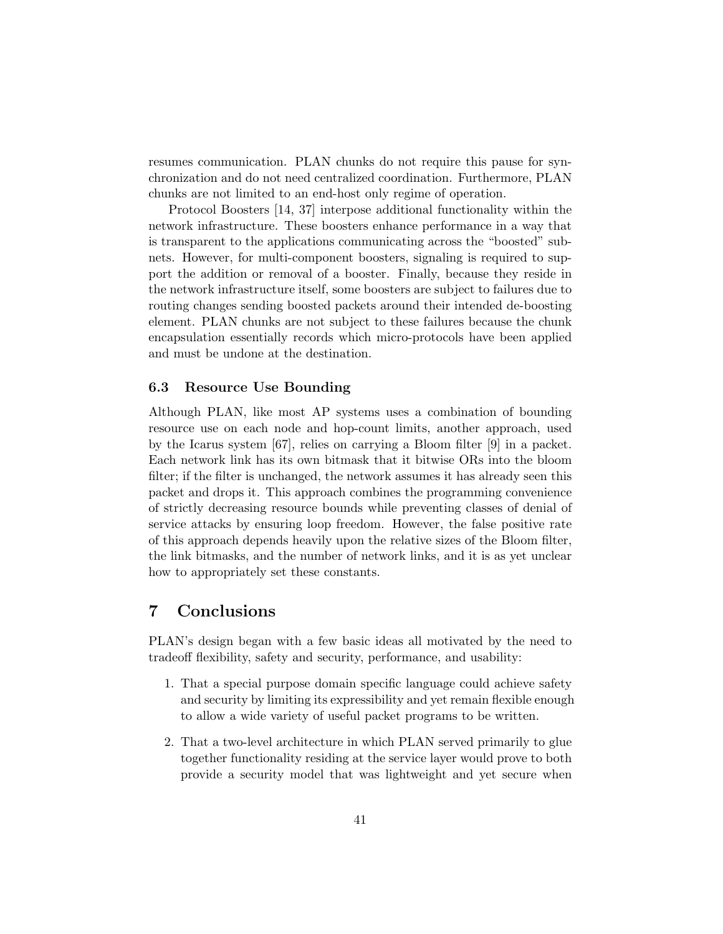resumes communication. PLAN chunks do not require this pause for synchronization and do not need centralized coordination. Furthermore, PLAN chunks are not limited to an end-host only regime of operation.

Protocol Boosters [14, 37] interpose additional functionality within the network infrastructure. These boosters enhance performance in a way that is transparent to the applications communicating across the "boosted" subnets. However, for multi-component boosters, signaling is required to support the addition or removal of a booster. Finally, because they reside in the network infrastructure itself, some boosters are subject to failures due to routing changes sending boosted packets around their intended de-boosting element. PLAN chunks are not subject to these failures because the chunk encapsulation essentially records which micro-protocols have been applied and must be undone at the destination.

## 6.3 Resource Use Bounding

Although PLAN, like most AP systems uses a combination of bounding resource use on each node and hop-count limits, another approach, used by the Icarus system [67], relies on carrying a Bloom filter [9] in a packet. Each network link has its own bitmask that it bitwise ORs into the bloom filter; if the filter is unchanged, the network assumes it has already seen this packet and drops it. This approach combines the programming convenience of strictly decreasing resource bounds while preventing classes of denial of service attacks by ensuring loop freedom. However, the false positive rate of this approach depends heavily upon the relative sizes of the Bloom filter, the link bitmasks, and the number of network links, and it is as yet unclear how to appropriately set these constants.

## 7 Conclusions

PLAN's design began with a few basic ideas all motivated by the need to tradeoff flexibility, safety and security, performance, and usability:

- 1. That a special purpose domain specific language could achieve safety and security by limiting its expressibility and yet remain flexible enough to allow a wide variety of useful packet programs to be written.
- 2. That a two-level architecture in which PLAN served primarily to glue together functionality residing at the service layer would prove to both provide a security model that was lightweight and yet secure when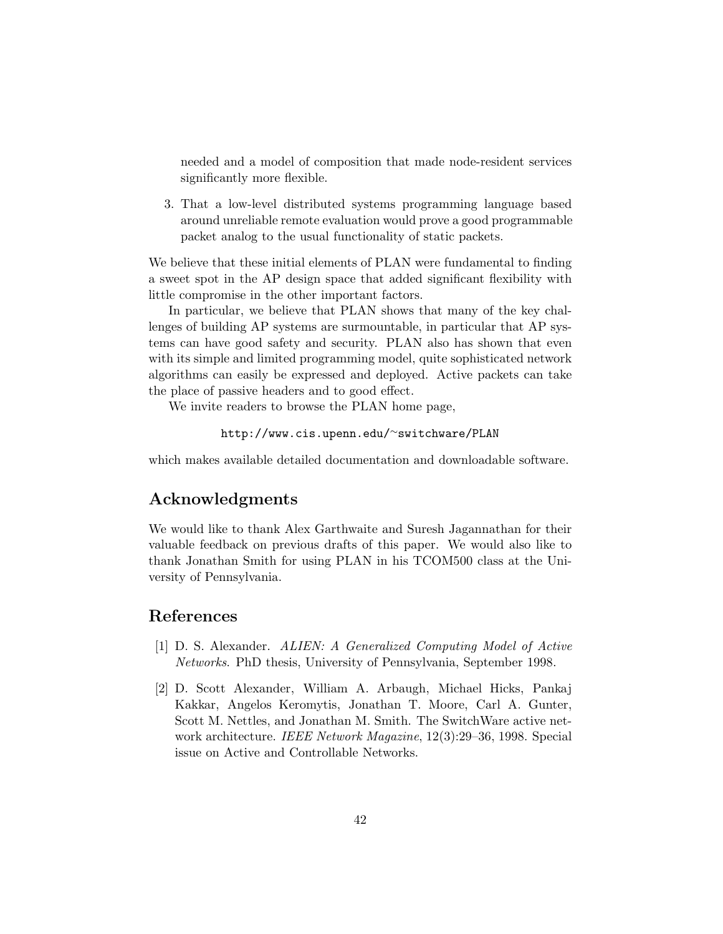needed and a model of composition that made node-resident services significantly more flexible.

3. That a low-level distributed systems programming language based around unreliable remote evaluation would prove a good programmable packet analog to the usual functionality of static packets.

We believe that these initial elements of PLAN were fundamental to finding a sweet spot in the AP design space that added significant flexibility with little compromise in the other important factors.

In particular, we believe that PLAN shows that many of the key challenges of building AP systems are surmountable, in particular that AP systems can have good safety and security. PLAN also has shown that even with its simple and limited programming model, quite sophisticated network algorithms can easily be expressed and deployed. Active packets can take the place of passive headers and to good effect.

We invite readers to browse the PLAN home page,

```
http://www.cis.upenn.edu/∼switchware/PLAN
```
which makes available detailed documentation and downloadable software.

## Acknowledgments

We would like to thank Alex Garthwaite and Suresh Jagannathan for their valuable feedback on previous drafts of this paper. We would also like to thank Jonathan Smith for using PLAN in his TCOM500 class at the University of Pennsylvania.

## References

- [1] D. S. Alexander. ALIEN: A Generalized Computing Model of Active Networks. PhD thesis, University of Pennsylvania, September 1998.
- [2] D. Scott Alexander, William A. Arbaugh, Michael Hicks, Pankaj Kakkar, Angelos Keromytis, Jonathan T. Moore, Carl A. Gunter, Scott M. Nettles, and Jonathan M. Smith. The SwitchWare active network architecture. IEEE Network Magazine, 12(3):29–36, 1998. Special issue on Active and Controllable Networks.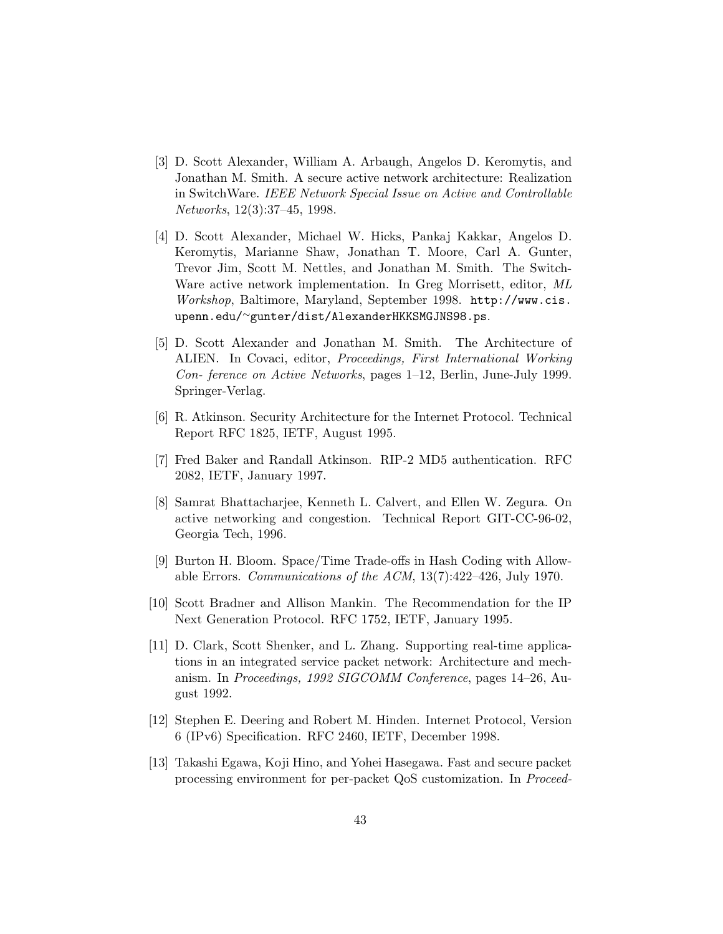- [3] D. Scott Alexander, William A. Arbaugh, Angelos D. Keromytis, and Jonathan M. Smith. A secure active network architecture: Realization in SwitchWare. IEEE Network Special Issue on Active and Controllable Networks, 12(3):37–45, 1998.
- [4] D. Scott Alexander, Michael W. Hicks, Pankaj Kakkar, Angelos D. Keromytis, Marianne Shaw, Jonathan T. Moore, Carl A. Gunter, Trevor Jim, Scott M. Nettles, and Jonathan M. Smith. The Switch-Ware active network implementation. In Greg Morrisett, editor, ML Workshop, Baltimore, Maryland, September 1998. http://www.cis. upenn.edu/∼gunter/dist/AlexanderHKKSMGJNS98.ps.
- [5] D. Scott Alexander and Jonathan M. Smith. The Architecture of ALIEN. In Covaci, editor, Proceedings, First International Working Con- ference on Active Networks, pages 1–12, Berlin, June-July 1999. Springer-Verlag.
- [6] R. Atkinson. Security Architecture for the Internet Protocol. Technical Report RFC 1825, IETF, August 1995.
- [7] Fred Baker and Randall Atkinson. RIP-2 MD5 authentication. RFC 2082, IETF, January 1997.
- [8] Samrat Bhattacharjee, Kenneth L. Calvert, and Ellen W. Zegura. On active networking and congestion. Technical Report GIT-CC-96-02, Georgia Tech, 1996.
- [9] Burton H. Bloom. Space/Time Trade-offs in Hash Coding with Allowable Errors. Communications of the ACM, 13(7):422–426, July 1970.
- [10] Scott Bradner and Allison Mankin. The Recommendation for the IP Next Generation Protocol. RFC 1752, IETF, January 1995.
- [11] D. Clark, Scott Shenker, and L. Zhang. Supporting real-time applications in an integrated service packet network: Architecture and mechanism. In Proceedings, 1992 SIGCOMM Conference, pages 14–26, August 1992.
- [12] Stephen E. Deering and Robert M. Hinden. Internet Protocol, Version 6 (IPv6) Specification. RFC 2460, IETF, December 1998.
- [13] Takashi Egawa, Koji Hino, and Yohei Hasegawa. Fast and secure packet processing environment for per-packet QoS customization. In Proceed-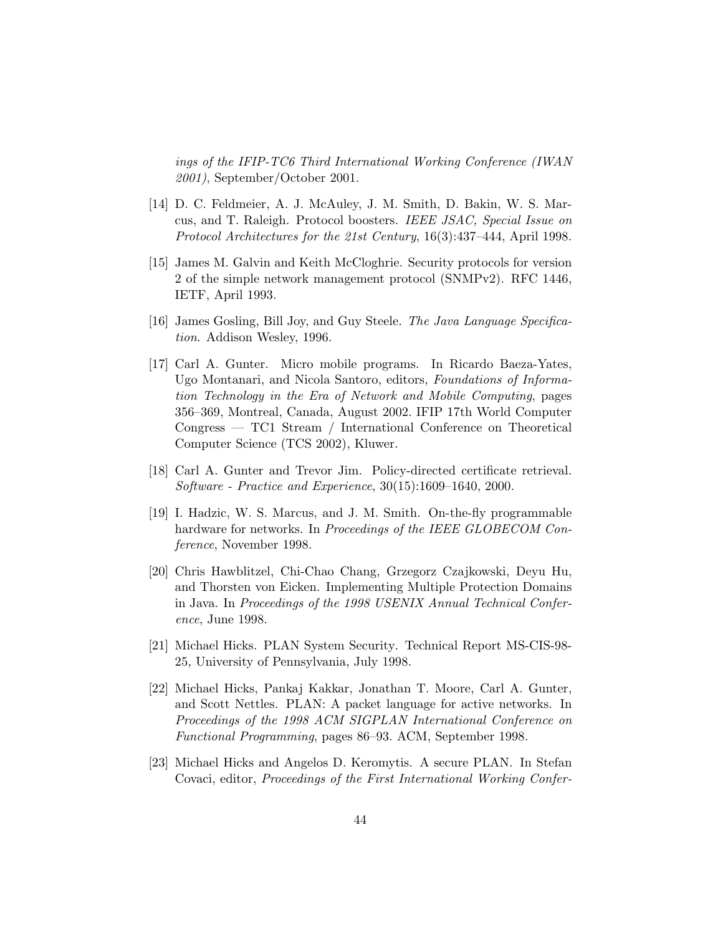ings of the IFIP-TC6 Third International Working Conference (IWAN 2001), September/October 2001.

- [14] D. C. Feldmeier, A. J. McAuley, J. M. Smith, D. Bakin, W. S. Marcus, and T. Raleigh. Protocol boosters. IEEE JSAC, Special Issue on Protocol Architectures for the 21st Century, 16(3):437–444, April 1998.
- [15] James M. Galvin and Keith McCloghrie. Security protocols for version 2 of the simple network management protocol (SNMPv2). RFC 1446, IETF, April 1993.
- [16] James Gosling, Bill Joy, and Guy Steele. The Java Language Specification. Addison Wesley, 1996.
- [17] Carl A. Gunter. Micro mobile programs. In Ricardo Baeza-Yates, Ugo Montanari, and Nicola Santoro, editors, Foundations of Information Technology in the Era of Network and Mobile Computing, pages 356–369, Montreal, Canada, August 2002. IFIP 17th World Computer Congress — TC1 Stream / International Conference on Theoretical Computer Science (TCS 2002), Kluwer.
- [18] Carl A. Gunter and Trevor Jim. Policy-directed certificate retrieval. Software - Practice and Experience, 30(15):1609–1640, 2000.
- [19] I. Hadzic, W. S. Marcus, and J. M. Smith. On-the-fly programmable hardware for networks. In *Proceedings of the IEEE GLOBECOM Con*ference, November 1998.
- [20] Chris Hawblitzel, Chi-Chao Chang, Grzegorz Czajkowski, Deyu Hu, and Thorsten von Eicken. Implementing Multiple Protection Domains in Java. In Proceedings of the 1998 USENIX Annual Technical Conference, June 1998.
- [21] Michael Hicks. PLAN System Security. Technical Report MS-CIS-98- 25, University of Pennsylvania, July 1998.
- [22] Michael Hicks, Pankaj Kakkar, Jonathan T. Moore, Carl A. Gunter, and Scott Nettles. PLAN: A packet language for active networks. In Proceedings of the 1998 ACM SIGPLAN International Conference on Functional Programming, pages 86–93. ACM, September 1998.
- [23] Michael Hicks and Angelos D. Keromytis. A secure PLAN. In Stefan Covaci, editor, Proceedings of the First International Working Confer-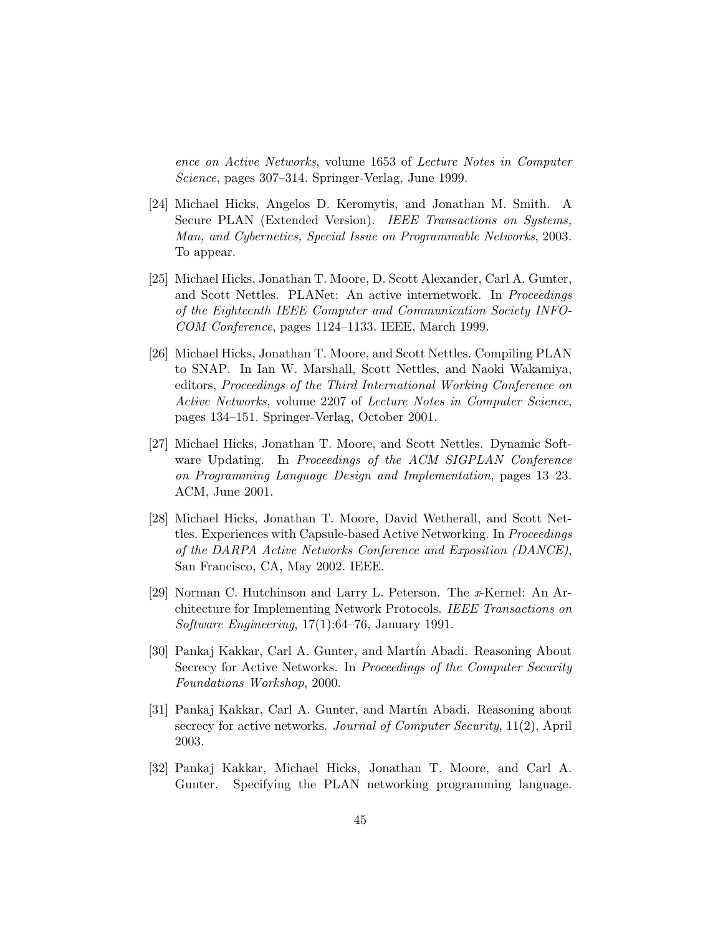ence on Active Networks, volume 1653 of Lecture Notes in Computer Science, pages 307–314. Springer-Verlag, June 1999.

- [24] Michael Hicks, Angelos D. Keromytis, and Jonathan M. Smith. A Secure PLAN (Extended Version). IEEE Transactions on Systems, Man, and Cybernetics, Special Issue on Programmable Networks, 2003. To appear.
- [25] Michael Hicks, Jonathan T. Moore, D. Scott Alexander, Carl A. Gunter, and Scott Nettles. PLANet: An active internetwork. In Proceedings of the Eighteenth IEEE Computer and Communication Society INFO-COM Conference, pages 1124–1133. IEEE, March 1999.
- [26] Michael Hicks, Jonathan T. Moore, and Scott Nettles. Compiling PLAN to SNAP. In Ian W. Marshall, Scott Nettles, and Naoki Wakamiya, editors, Proceedings of the Third International Working Conference on Active Networks, volume 2207 of Lecture Notes in Computer Science, pages 134–151. Springer-Verlag, October 2001.
- [27] Michael Hicks, Jonathan T. Moore, and Scott Nettles. Dynamic Software Updating. In Proceedings of the ACM SIGPLAN Conference on Programming Language Design and Implementation, pages 13–23. ACM, June 2001.
- [28] Michael Hicks, Jonathan T. Moore, David Wetherall, and Scott Nettles. Experiences with Capsule-based Active Networking. In Proceedings of the DARPA Active Networks Conference and Exposition (DANCE), San Francisco, CA, May 2002. IEEE.
- [29] Norman C. Hutchinson and Larry L. Peterson. The x-Kernel: An Architecture for Implementing Network Protocols. IEEE Transactions on Software Engineering, 17(1):64–76, January 1991.
- [30] Pankaj Kakkar, Carl A. Gunter, and Martín Abadi. Reasoning About Secrecy for Active Networks. In Proceedings of the Computer Security Foundations Workshop, 2000.
- [31] Pankaj Kakkar, Carl A. Gunter, and Martín Abadi. Reasoning about secrecy for active networks. Journal of Computer Security, 11(2), April 2003.
- [32] Pankaj Kakkar, Michael Hicks, Jonathan T. Moore, and Carl A. Gunter. Specifying the PLAN networking programming language.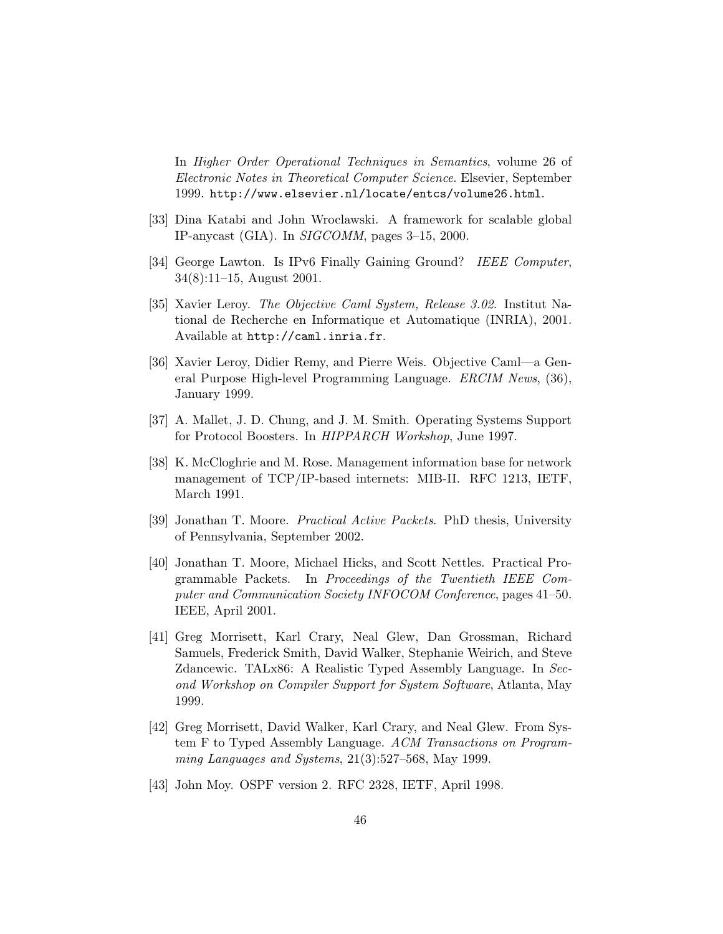In Higher Order Operational Techniques in Semantics, volume 26 of Electronic Notes in Theoretical Computer Science. Elsevier, September 1999. http://www.elsevier.nl/locate/entcs/volume26.html.

- [33] Dina Katabi and John Wroclawski. A framework for scalable global IP-anycast (GIA). In SIGCOMM, pages 3–15, 2000.
- [34] George Lawton. Is IPv6 Finally Gaining Ground? IEEE Computer, 34(8):11–15, August 2001.
- [35] Xavier Leroy. The Objective Caml System, Release 3.02. Institut National de Recherche en Informatique et Automatique (INRIA), 2001. Available at http://caml.inria.fr.
- [36] Xavier Leroy, Didier Remy, and Pierre Weis. Objective Caml—a General Purpose High-level Programming Language. ERCIM News, (36), January 1999.
- [37] A. Mallet, J. D. Chung, and J. M. Smith. Operating Systems Support for Protocol Boosters. In HIPPARCH Workshop, June 1997.
- [38] K. McCloghrie and M. Rose. Management information base for network management of TCP/IP-based internets: MIB-II. RFC 1213, IETF, March 1991.
- [39] Jonathan T. Moore. Practical Active Packets. PhD thesis, University of Pennsylvania, September 2002.
- [40] Jonathan T. Moore, Michael Hicks, and Scott Nettles. Practical Programmable Packets. In Proceedings of the Twentieth IEEE Computer and Communication Society INFOCOM Conference, pages 41–50. IEEE, April 2001.
- [41] Greg Morrisett, Karl Crary, Neal Glew, Dan Grossman, Richard Samuels, Frederick Smith, David Walker, Stephanie Weirich, and Steve Zdancewic. TALx86: A Realistic Typed Assembly Language. In Second Workshop on Compiler Support for System Software, Atlanta, May 1999.
- [42] Greg Morrisett, David Walker, Karl Crary, and Neal Glew. From System F to Typed Assembly Language. ACM Transactions on Programming Languages and Systems, 21(3):527–568, May 1999.
- [43] John Moy. OSPF version 2. RFC 2328, IETF, April 1998.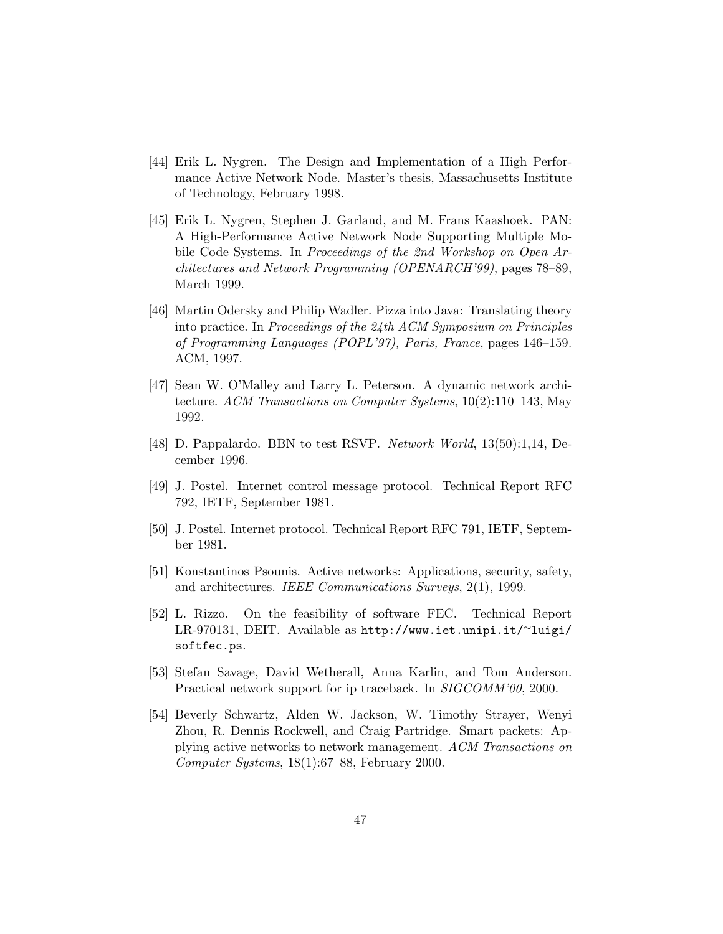- [44] Erik L. Nygren. The Design and Implementation of a High Performance Active Network Node. Master's thesis, Massachusetts Institute of Technology, February 1998.
- [45] Erik L. Nygren, Stephen J. Garland, and M. Frans Kaashoek. PAN: A High-Performance Active Network Node Supporting Multiple Mobile Code Systems. In Proceedings of the 2nd Workshop on Open Architectures and Network Programming (OPENARCH'99), pages 78–89, March 1999.
- [46] Martin Odersky and Philip Wadler. Pizza into Java: Translating theory into practice. In Proceedings of the 24th ACM Symposium on Principles of Programming Languages (POPL'97), Paris, France, pages 146–159. ACM, 1997.
- [47] Sean W. O'Malley and Larry L. Peterson. A dynamic network architecture. ACM Transactions on Computer Systems, 10(2):110–143, May 1992.
- [48] D. Pappalardo. BBN to test RSVP. Network World, 13(50):1,14, December 1996.
- [49] J. Postel. Internet control message protocol. Technical Report RFC 792, IETF, September 1981.
- [50] J. Postel. Internet protocol. Technical Report RFC 791, IETF, September 1981.
- [51] Konstantinos Psounis. Active networks: Applications, security, safety, and architectures. IEEE Communications Surveys, 2(1), 1999.
- [52] L. Rizzo. On the feasibility of software FEC. Technical Report LR-970131, DEIT. Available as http://www.iet.unipi.it/∼luigi/ softfec.ps.
- [53] Stefan Savage, David Wetherall, Anna Karlin, and Tom Anderson. Practical network support for ip traceback. In SIGCOMM'00, 2000.
- [54] Beverly Schwartz, Alden W. Jackson, W. Timothy Strayer, Wenyi Zhou, R. Dennis Rockwell, and Craig Partridge. Smart packets: Applying active networks to network management. ACM Transactions on Computer Systems, 18(1):67–88, February 2000.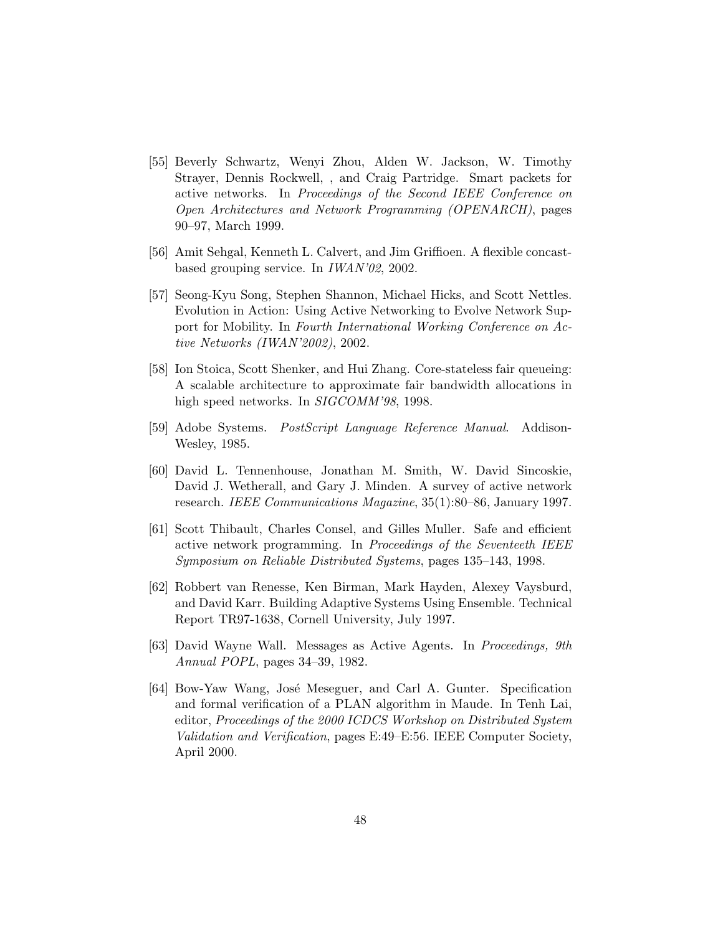- [55] Beverly Schwartz, Wenyi Zhou, Alden W. Jackson, W. Timothy Strayer, Dennis Rockwell, , and Craig Partridge. Smart packets for active networks. In Proceedings of the Second IEEE Conference on Open Architectures and Network Programming (OPENARCH), pages 90–97, March 1999.
- [56] Amit Sehgal, Kenneth L. Calvert, and Jim Griffioen. A flexible concastbased grouping service. In IWAN'02, 2002.
- [57] Seong-Kyu Song, Stephen Shannon, Michael Hicks, and Scott Nettles. Evolution in Action: Using Active Networking to Evolve Network Support for Mobility. In Fourth International Working Conference on Active Networks (IWAN'2002), 2002.
- [58] Ion Stoica, Scott Shenker, and Hui Zhang. Core-stateless fair queueing: A scalable architecture to approximate fair bandwidth allocations in high speed networks. In SIGCOMM'98, 1998.
- [59] Adobe Systems. PostScript Language Reference Manual. Addison-Wesley, 1985.
- [60] David L. Tennenhouse, Jonathan M. Smith, W. David Sincoskie, David J. Wetherall, and Gary J. Minden. A survey of active network research. IEEE Communications Magazine, 35(1):80–86, January 1997.
- [61] Scott Thibault, Charles Consel, and Gilles Muller. Safe and efficient active network programming. In Proceedings of the Seventeeth IEEE Symposium on Reliable Distributed Systems, pages 135–143, 1998.
- [62] Robbert van Renesse, Ken Birman, Mark Hayden, Alexey Vaysburd, and David Karr. Building Adaptive Systems Using Ensemble. Technical Report TR97-1638, Cornell University, July 1997.
- [63] David Wayne Wall. Messages as Active Agents. In Proceedings, 9th Annual POPL, pages 34–39, 1982.
- [64] Bow-Yaw Wang, José Meseguer, and Carl A. Gunter. Specification and formal verification of a PLAN algorithm in Maude. In Tenh Lai, editor, Proceedings of the 2000 ICDCS Workshop on Distributed System Validation and Verification, pages E:49–E:56. IEEE Computer Society, April 2000.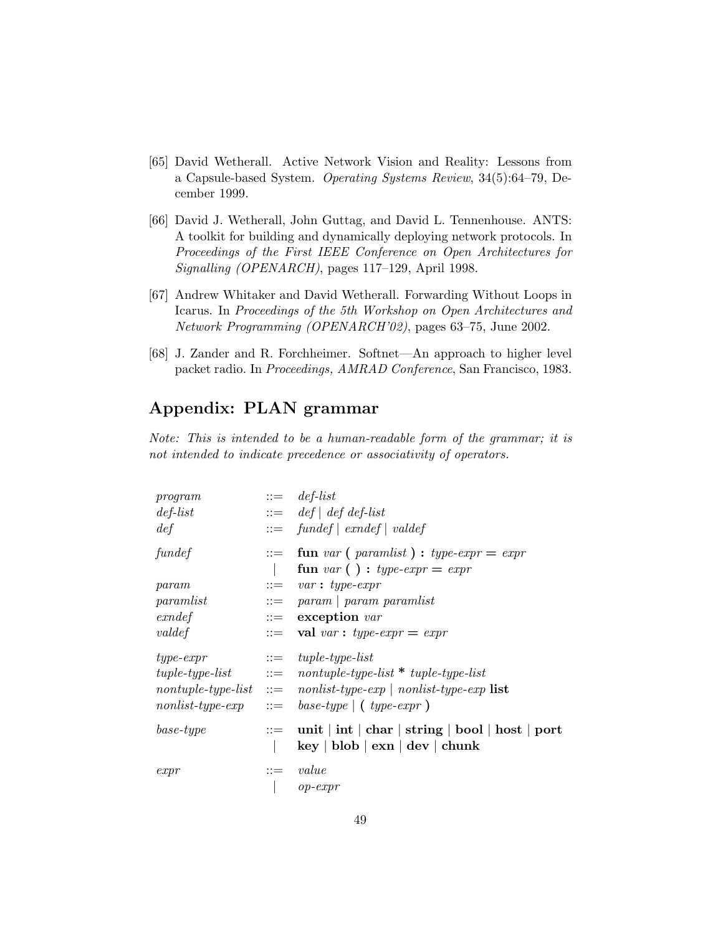- [65] David Wetherall. Active Network Vision and Reality: Lessons from a Capsule-based System. Operating Systems Review, 34(5):64–79, December 1999.
- [66] David J. Wetherall, John Guttag, and David L. Tennenhouse. ANTS: A toolkit for building and dynamically deploying network protocols. In Proceedings of the First IEEE Conference on Open Architectures for Signalling (OPENARCH), pages 117–129, April 1998.
- [67] Andrew Whitaker and David Wetherall. Forwarding Without Loops in Icarus. In Proceedings of the 5th Workshop on Open Architectures and Network Programming (OPENARCH'02), pages 63–75, June 2002.
- [68] J. Zander and R. Forchheimer. Softnet—An approach to higher level packet radio. In Proceedings, AMRAD Conference, San Francisco, 1983.

# Appendix: PLAN grammar

Note: This is intended to be a human-readable form of the grammar; it is not intended to indicate precedence or associativity of operators.

| program<br>$def-list$     | $ ::= \text{def-list}$<br>$\therefore = \det   \def \det d\del{f}  $                                                                                                                                                                                                                            |
|---------------------------|-------------------------------------------------------------------------------------------------------------------------------------------------------------------------------------------------------------------------------------------------------------------------------------------------|
| def<br>fundef             | $ ::= \quad \text{fundef} \mid \text{candef} \mid \text{valdef}$<br>$\therefore$ fun var (paramlist): type-expr = expr                                                                                                                                                                          |
|                           | fun var () : type-expr = expr                                                                                                                                                                                                                                                                   |
| param<br>paramlist        | $ ::= \quad var : type-expr$<br>$ ::=$ param   param paramlist                                                                                                                                                                                                                                  |
| $\emph{exndef}$<br>valdef | $\cdots$ exception var<br>$\therefore$ val var: type-expr = expr                                                                                                                                                                                                                                |
| $type\text{-}expr$        | $\therefore = \text{tuple-type-list}$<br>$tuple-type-list$ ::= nontuple-type-list * tuple-type-list<br>$nontuple\text{-}type\text{-}list ::= nonlist\text{-}type\text{-}exp \mid nonlist\text{-}type\text{-}exp \text{ list }$<br>$nonlist-type-exp \quad ::= \quad base-type \mid (type-expr)$ |
| $base-type$               | $\therefore$ unit   int   char   string   bool   host   port<br>$\log  \text{ blob}  \text{ exam}  \text{dev}  \text{ chunk}$                                                                                                                                                                   |
| expr                      | $ ::= \ value$<br>$op\text{-}expr$                                                                                                                                                                                                                                                              |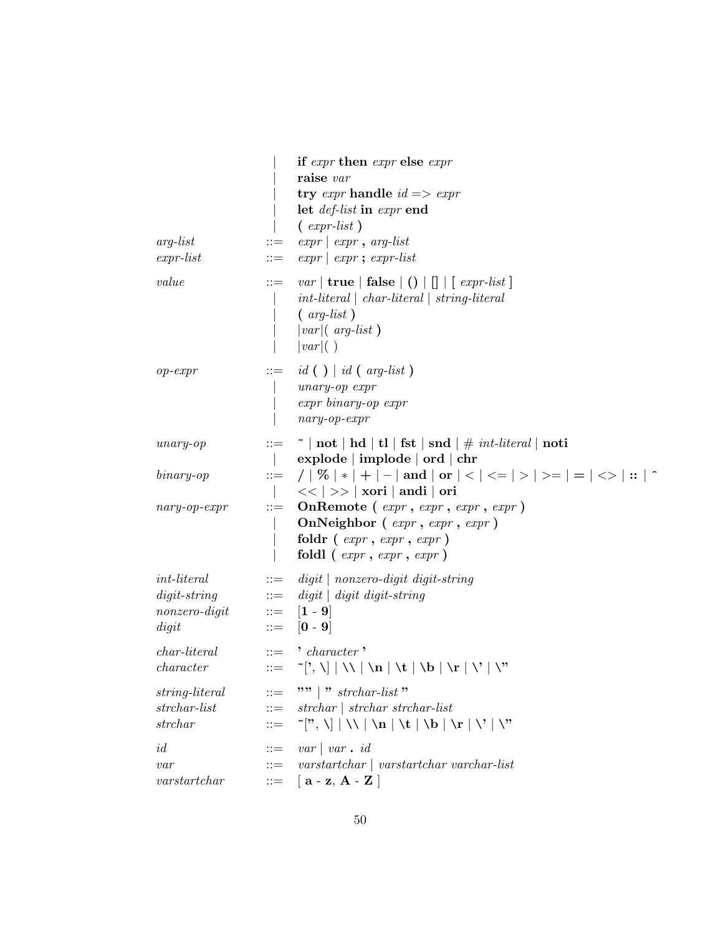| $arg-list$<br>$expr-list$                          | $::=$<br>$::=$                                | if expr then expr else expr<br>raise var<br>try <i>expr</i> handle $id \implies expr$<br>let <i>def-list</i> in <i>expr</i> end<br>$\left(\right.$ expr-list)<br>$expr   expr, arg-list$<br>$expr   expr; expr-list$     |  |
|----------------------------------------------------|-----------------------------------------------|--------------------------------------------------------------------------------------------------------------------------------------------------------------------------------------------------------------------------|--|
| value                                              | $::=$                                         | <i>var</i>   <b>true</b>   <b>false</b> $ ()      $   $  expr-list  $<br>$int\text{-}literal \mid char\text{-}literal \mid string\text{-}literal$<br>$\left( \text{ arg-list } \right)$<br>$ var $ arg-list)<br> var ()  |  |
| $op\text{-}expr$                                   | $::=$                                         | $id()   id (arg-list)$<br>$unary-op$ $expr$<br>$expr\ binary-op\ expr$<br>$nary-op-expr$                                                                                                                                 |  |
| $unary$ - $op$                                     | $::=$                                         | $\tilde{ } \text{ } \mid \text{not} \mid \text{hd} \mid \text{tl} \mid \text{fst} \mid \text{snd} \mid \# \text{ } \textit{int-linear} \mid \text{noti}$<br>$explode   \implies   ord   \text{chr}$                      |  |
| $binary$ -op                                       | $::=$                                         | /   %   $*$   +   -   and   or   <   <=   >   >=   =   <>   ::   ^<br>$<<$ $ >> $ xori   andi   ori                                                                                                                      |  |
| $nary-op-expr$                                     | $::=$                                         | OnRemote (expr, expr, expr, expr)<br>OnNeighbor (expr, expr, expr)<br>foldr $(\text{expr}, \text{expr}, \text{expr})$<br>foldl $(\text{expr}, \text{expr}, \text{expr})$                                                 |  |
| $int-literal$<br>$digit\text{-}string$             | $::=$<br>$::=$                                | $digit \mid nonzero-digit \; digit\; string$<br>$digit \mid digit \; digit\; string$                                                                                                                                     |  |
| $nonzero-digit$<br>digit                           | $\qquad \qquad \cdots \qquad \qquad$<br>$::=$ | $\left[1 - 9\right]$<br>$\left[0 - 9\right]$                                                                                                                                                                             |  |
| <i>char-literal</i><br>character                   | $::=$<br>$::=$                                | $\cdot$ character $\cdot$<br>$\lceil n \rceil, \mathcal{N} \rceil \setminus \mathcal{N} \setminus \mathbf{n} \setminus \mathbf{t} \setminus \mathbf{b} \setminus \mathbf{r} \setminus \mathcal{N} \setminus \mathcal{N}$ |  |
| string-literal<br>$strchar\text{-}list$<br>strchar | $::=$<br>$\mathbf{H} =$<br>$::=$              | """ $\mid$ "" strchar-list"<br>$strchar \mid strchar strchar\text{-}list$                                                                                                                                                |  |
| id<br>var<br>varstart char                         | $::=$                                         | $var \mid var \cdot id$<br>$\ ::= \ \ \ \textit{varstart}$ varstartchar varchar-list<br>$ ::= \left[ \mathbf{a} - \mathbf{z}, \mathbf{A} - \mathbf{Z} \right]$                                                           |  |